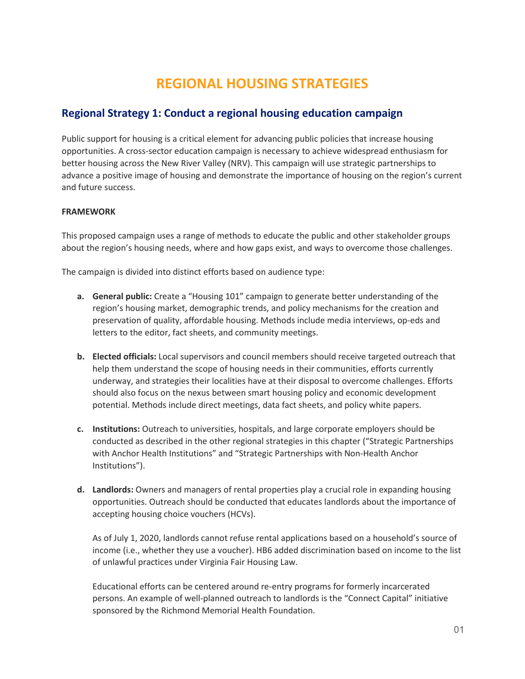# **REGIONAL HOUSING STRATEGIES**

### **Regional Strategy 1: Conduct a regional housing education campaign**

Public support for housing is a critical element for advancing public policies that increase housing opportunities. A cross-sector education campaign is necessary to achieve widespread enthusiasm for better housing across the New River Valley (NRV). This campaign will use strategic partnerships to advance a positive image of housing and demonstrate the importance of housing on the region's current and future success.

#### **FRAMEWORK**

This proposed campaign uses a range of methods to educate the public and other stakeholder groups about the region's housing needs, where and how gaps exist, and ways to overcome those challenges.

The campaign is divided into distinct efforts based on audience type:

- **a. General public:** Create a "Housing 101" campaign to generate better understanding of the region's housing market, demographic trends, and policy mechanisms for the creation and preservation of quality, affordable housing. Methods include media interviews, op-eds and letters to the editor, fact sheets, and community meetings.
- **b. Elected officials:** Local supervisors and council members should receive targeted outreach that help them understand the scope of housing needs in their communities, efforts currently underway, and strategies their localities have at their disposal to overcome challenges. Efforts should also focus on the nexus between smart housing policy and economic development potential. Methods include direct meetings, data fact sheets, and policy white papers.
- **c. Institutions:** Outreach to universities, hospitals, and large corporate employers should be conducted as described in the other regional strategies in this chapter ("Strategic Partnerships with Anchor Health Institutions" and "Strategic Partnerships with Non-Health Anchor Institutions").
- **d. Landlords:** Owners and managers of rental properties play a crucial role in expanding housing opportunities. Outreach should be conducted that educates landlords about the importance of accepting housing choice vouchers (HCVs).

As of July 1, 2020, landlords cannot refuse rental applications based on a household's source of income (i.e., whether they use a voucher). HB6 added discrimination based on income to the list of unlawful practices under Virginia Fair Housing Law.

Educational efforts can be centered around re-entry programs for formerly incarcerated persons. An example of well-planned outreach to landlords is the "Connect Capital" initiative sponsored by the Richmond Memorial Health Foundation.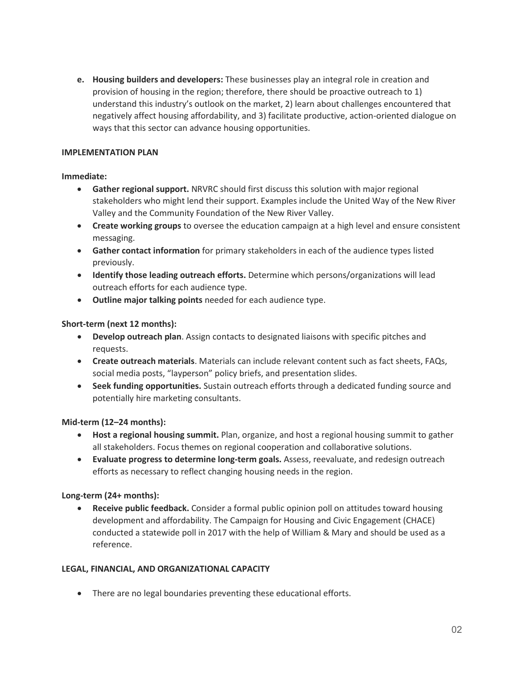**e. Housing builders and developers:** These businesses play an integral role in creation and provision of housing in the region; therefore, there should be proactive outreach to 1) understand this industry's outlook on the market, 2) learn about challenges encountered that negatively affect housing affordability, and 3) facilitate productive, action-oriented dialogue on ways that this sector can advance housing opportunities.

#### **IMPLEMENTATION PLAN**

#### **Immediate:**

- **Gather regional support.** NRVRC should first discuss this solution with major regional stakeholders who might lend their support. Examples include the United Way of the New River Valley and the Community Foundation of the New River Valley.
- **Create working groups** to oversee the education campaign at a high level and ensure consistent messaging.
- **Gather contact information** for primary stakeholders in each of the audience types listed previously.
- **Identify those leading outreach efforts.** Determine which persons/organizations will lead outreach efforts for each audience type.
- **Outline major talking points** needed for each audience type.

#### **Short-term (next 12 months):**

- **Develop outreach plan**. Assign contacts to designated liaisons with specific pitches and requests.
- **Create outreach materials**. Materials can include relevant content such as fact sheets, FAQs, social media posts, "layperson" policy briefs, and presentation slides.
- **Seek funding opportunities.** Sustain outreach efforts through a dedicated funding source and potentially hire marketing consultants.

#### **Mid-term (12–24 months):**

- **Host a regional housing summit.** Plan, organize, and host a regional housing summit to gather all stakeholders. Focus themes on regional cooperation and collaborative solutions.
- **Evaluate progress to determine long-term goals.** Assess, reevaluate, and redesign outreach efforts as necessary to reflect changing housing needs in the region.

#### **Long-term (24+ months):**

• **Receive public feedback.** Consider a formal public opinion poll on attitudes toward housing development and affordability. The Campaign for Housing and Civic Engagement (CHACE) conducted a statewide poll in 2017 with the help of William & Mary and should be used as a reference.

#### **LEGAL, FINANCIAL, AND ORGANIZATIONAL CAPACITY**

• There are no legal boundaries preventing these educational efforts.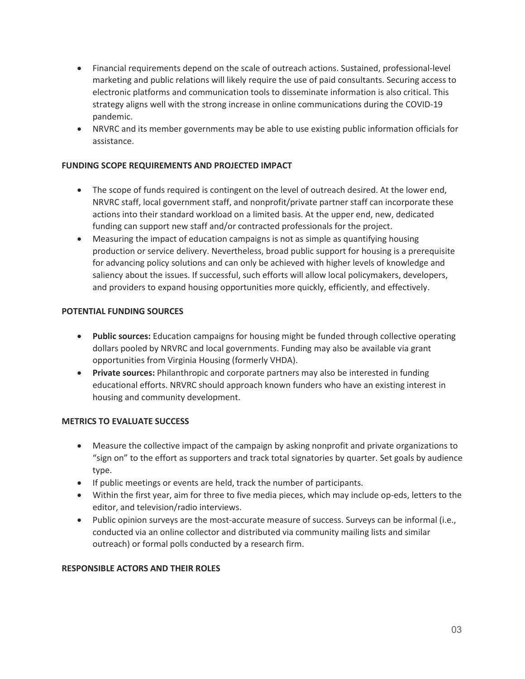- Financial requirements depend on the scale of outreach actions. Sustained, professional-level marketing and public relations will likely require the use of paid consultants. Securing access to electronic platforms and communication tools to disseminate information is also critical. This strategy aligns well with the strong increase in online communications during the COVID-19 pandemic.
- NRVRC and its member governments may be able to use existing public information officials for assistance.

#### **FUNDING SCOPE REQUIREMENTS AND PROJECTED IMPACT**

- The scope of funds required is contingent on the level of outreach desired. At the lower end, NRVRC staff, local government staff, and nonprofit/private partner staff can incorporate these actions into their standard workload on a limited basis. At the upper end, new, dedicated funding can support new staff and/or contracted professionals for the project.
- Measuring the impact of education campaigns is not as simple as quantifying housing production or service delivery. Nevertheless, broad public support for housing is a prerequisite for advancing policy solutions and can only be achieved with higher levels of knowledge and saliency about the issues. If successful, such efforts will allow local policymakers, developers, and providers to expand housing opportunities more quickly, efficiently, and effectively.

#### **POTENTIAL FUNDING SOURCES**

- **Public sources:** Education campaigns for housing might be funded through collective operating dollars pooled by NRVRC and local governments. Funding may also be available via grant opportunities from Virginia Housing (formerly VHDA).
- **Private sources:** Philanthropic and corporate partners may also be interested in funding educational efforts. NRVRC should approach known funders who have an existing interest in housing and community development.

#### **METRICS TO EVALUATE SUCCESS**

- Measure the collective impact of the campaign by asking nonprofit and private organizations to "sign on" to the effort as supporters and track total signatories by quarter. Set goals by audience type.
- If public meetings or events are held, track the number of participants.
- Within the first year, aim for three to five media pieces, which may include op-eds, letters to the editor, and television/radio interviews.
- Public opinion surveys are the most-accurate measure of success. Surveys can be informal (i.e., conducted via an online collector and distributed via community mailing lists and similar outreach) or formal polls conducted by a research firm.

#### **RESPONSIBLE ACTORS AND THEIR ROLES**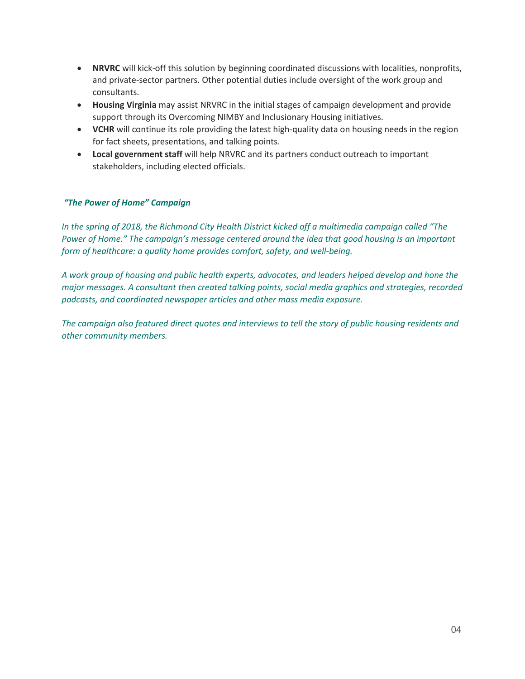- **NRVRC** will kick-off this solution by beginning coordinated discussions with localities, nonprofits, and private-sector partners. Other potential duties include oversight of the work group and consultants.
- **Housing Virginia** may assist NRVRC in the initial stages of campaign development and provide support through its Overcoming NIMBY and Inclusionary Housing initiatives.
- **VCHR** will continue its role providing the latest high-quality data on housing needs in the region for fact sheets, presentations, and talking points.
- **Local government staff** will help NRVRC and its partners conduct outreach to important stakeholders, including elected officials.

#### *"The Power of Home" Campaign*

*In the spring of 2018, the Richmond City Health District kicked off a multimedia campaign called "The Power of Home." The campaign's message centered around the idea that good housing is an important form of healthcare: a quality home provides comfort, safety, and well-being.*

*A work group of housing and public health experts, advocates, and leaders helped develop and hone the major messages. A consultant then created talking points, social media graphics and strategies, recorded podcasts, and coordinated newspaper articles and other mass media exposure.*

*The campaign also featured direct quotes and interviews to tell the story of public housing residents and other community members.*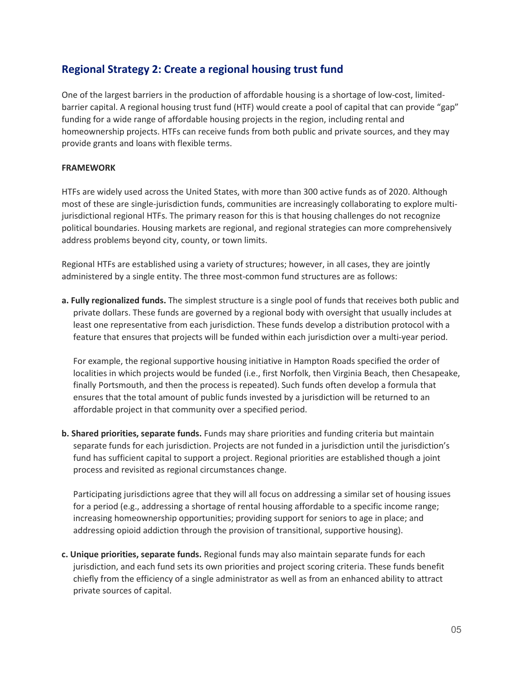### **Regional Strategy 2: Create a regional housing trust fund**

One of the largest barriers in the production of affordable housing is a shortage of low-cost, limitedbarrier capital. A regional housing trust fund (HTF) would create a pool of capital that can provide "gap" funding for a wide range of affordable housing projects in the region, including rental and homeownership projects. HTFs can receive funds from both public and private sources, and they may provide grants and loans with flexible terms.

#### **FRAMEWORK**

HTFs are widely used across the United States, with more than 300 active funds as of 2020. Although most of these are single-jurisdiction funds, communities are increasingly collaborating to explore multijurisdictional regional HTFs. The primary reason for this is that housing challenges do not recognize political boundaries. Housing markets are regional, and regional strategies can more comprehensively address problems beyond city, county, or town limits.

Regional HTFs are established using a variety of structures; however, in all cases, they are jointly administered by a single entity. The three most-common fund structures are as follows:

**a. Fully regionalized funds.** The simplest structure is a single pool of funds that receives both public and private dollars. These funds are governed by a regional body with oversight that usually includes at least one representative from each jurisdiction. These funds develop a distribution protocol with a feature that ensures that projects will be funded within each jurisdiction over a multi-year period.

For example, the regional supportive housing initiative in Hampton Roads specified the order of localities in which projects would be funded (i.e., first Norfolk, then Virginia Beach, then Chesapeake, finally Portsmouth, and then the process is repeated). Such funds often develop a formula that ensures that the total amount of public funds invested by a jurisdiction will be returned to an affordable project in that community over a specified period.

**b. Shared priorities, separate funds.** Funds may share priorities and funding criteria but maintain separate funds for each jurisdiction. Projects are not funded in a jurisdiction until the jurisdiction's fund has sufficient capital to support a project. Regional priorities are established though a joint process and revisited as regional circumstances change.

Participating jurisdictions agree that they will all focus on addressing a similar set of housing issues for a period (e.g., addressing a shortage of rental housing affordable to a specific income range; increasing homeownership opportunities; providing support for seniors to age in place; and addressing opioid addiction through the provision of transitional, supportive housing).

**c. Unique priorities, separate funds.** Regional funds may also maintain separate funds for each jurisdiction, and each fund sets its own priorities and project scoring criteria. These funds benefit chiefly from the efficiency of a single administrator as well as from an enhanced ability to attract private sources of capital.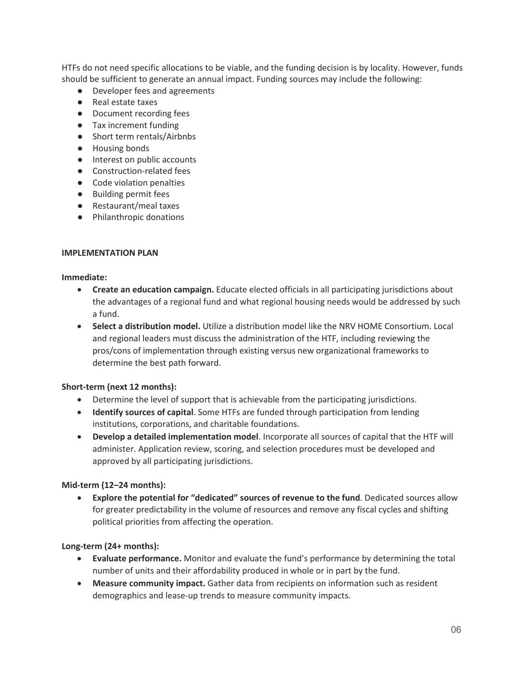HTFs do not need specific allocations to be viable, and the funding decision is by locality. However, funds should be sufficient to generate an annual impact. Funding sources may include the following:

- Developer fees and agreements
- Real estate taxes
- Document recording fees
- Tax increment funding
- Short term rentals/Airbnbs
- Housing bonds
- Interest on public accounts
- Construction-related fees
- Code violation penalties
- Building permit fees
- Restaurant/meal taxes
- Philanthropic donations

#### **IMPLEMENTATION PLAN**

#### **Immediate:**

- **Create an education campaign.** Educate elected officials in all participating jurisdictions about the advantages of a regional fund and what regional housing needs would be addressed by such a fund.
- **Select a distribution model.** Utilize a distribution model like the NRV HOME Consortium. Local and regional leaders must discuss the administration of the HTF, including reviewing the pros/cons of implementation through existing versus new organizational frameworks to determine the best path forward.

#### **Short-term (next 12 months):**

- Determine the level of support that is achievable from the participating jurisdictions.
- **Identify sources of capital**. Some HTFs are funded through participation from lending institutions, corporations, and charitable foundations.
- **Develop a detailed implementation model**. Incorporate all sources of capital that the HTF will administer. Application review, scoring, and selection procedures must be developed and approved by all participating jurisdictions.

#### **Mid-term (12–24 months):**

• **Explore the potential for "dedicated" sources of revenue to the fund**. Dedicated sources allow for greater predictability in the volume of resources and remove any fiscal cycles and shifting political priorities from affecting the operation.

#### **Long-term (24+ months):**

- **Evaluate performance.** Monitor and evaluate the fund's performance by determining the total number of units and their affordability produced in whole or in part by the fund.
- **Measure community impact.** Gather data from recipients on information such as resident demographics and lease-up trends to measure community impacts.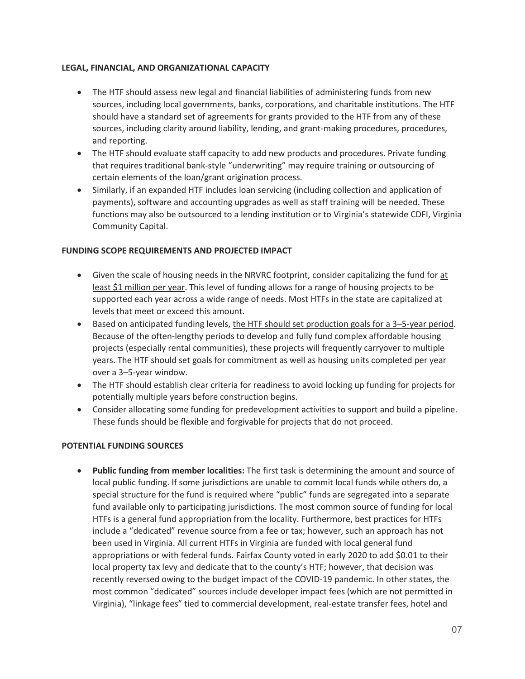#### **LEGAL, FINANCIAL, AND ORGANIZATIONAL CAPACITY**

- The HTF should assess new legal and financial liabilities of administering funds from new sources, including local governments, banks, corporations, and charitable institutions. The HTF should have a standard set of agreements for grants provided to the HTF from any of these sources, including clarity around liability, lending, and grant-making procedures, procedures, and reporting.
- The HTF should evaluate staff capacity to add new products and procedures. Private funding that requires traditional bank-style "underwriting" may require training or outsourcing of certain elements of the loan/grant origination process.
- Similarly, if an expanded HTF includes loan servicing (including collection and application of payments), software and accounting upgrades as well as staff training will be needed. These functions may also be outsourced to a lending institution or to Virginia's statewide CDFI, Virginia Community Capital.

#### **FUNDING SCOPE REQUIREMENTS AND PROJECTED IMPACT**

- Given the scale of housing needs in the NRVRC footprint, consider capitalizing the fund for at least \$1 million per year. This level of funding allows for a range of housing projects to be supported each year across a wide range of needs. Most HTFs in the state are capitalized at levels that meet or exceed this amount.
- Based on anticipated funding levels, the HTF should set production goals for a 3–5-year period. Because of the often-lengthy periods to develop and fully fund complex affordable housing projects (especially rental communities), these projects will frequently carryover to multiple years. The HTF should set goals for commitment as well as housing units completed per year over a 3–5-year window.
- The HTF should establish clear criteria for readiness to avoid locking up funding for projects for potentially multiple years before construction begins.
- Consider allocating some funding for predevelopment activities to support and build a pipeline. These funds should be flexible and forgivable for projects that do not proceed.

#### **POTENTIAL FUNDING SOURCES**

• **Public funding from member localities:** The first task is determining the amount and source of local public funding. If some jurisdictions are unable to commit local funds while others do, a special structure for the fund is required where "public" funds are segregated into a separate fund available only to participating jurisdictions. The most common source of funding for local HTFs is a general fund appropriation from the locality. Furthermore, best practices for HTFs include a "dedicated" revenue source from a fee or tax; however, such an approach has not been used in Virginia. All current HTFs in Virginia are funded with local general fund appropriations or with federal funds. Fairfax County voted in early 2020 to add \$0.01 to their local property tax levy and dedicate that to the county's HTF; however, that decision was recently reversed owing to the budget impact of the COVID-19 pandemic. In other states, the most common "dedicated" sources include developer impact fees (which are not permitted in Virginia), "linkage fees" tied to commercial development, real-estate transfer fees, hotel and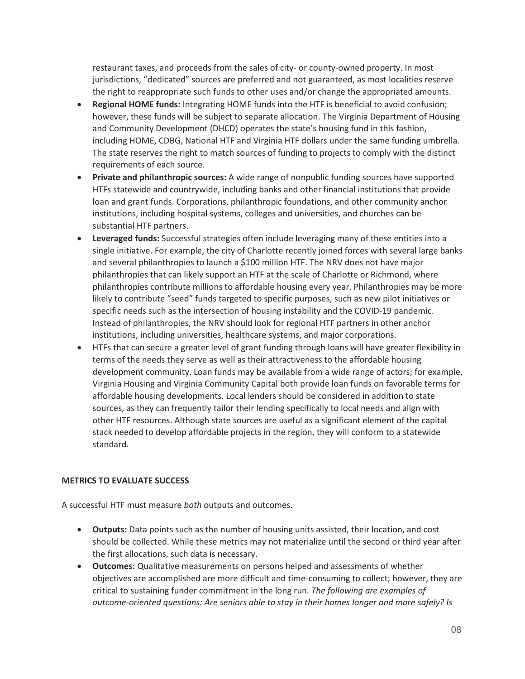restaurant taxes, and proceeds from the sales of city- or county-owned property. In most jurisdictions, "dedicated" sources are preferred and not guaranteed, as most localities reserve the right to reappropriate such funds to other uses and/or change the appropriated amounts.

- **Regional HOME funds:** Integrating HOME funds into the HTF is beneficial to avoid confusion; however, these funds will be subject to separate allocation. The Virginia Department of Housing and Community Development (DHCD) operates the state's housing fund in this fashion, including HOME, CDBG, National HTF and Virginia HTF dollars under the same funding umbrella. The state reserves the right to match sources of funding to projects to comply with the distinct requirements of each source.
- **Private and philanthropic sources:** A wide range of nonpublic funding sources have supported HTFs statewide and countrywide, including banks and other financial institutions that provide loan and grant funds. Corporations, philanthropic foundations, and other community anchor institutions, including hospital systems, colleges and universities, and churches can be substantial HTF partners.
- **Leveraged funds:** Successful strategies often include leveraging many of these entities into a single initiative. For example, the city of Charlotte recently joined forces with several large banks and several philanthropies to launch a \$100 million HTF. The NRV does not have major philanthropies that can likely support an HTF at the scale of Charlotte or Richmond, where philanthropies contribute millions to affordable housing every year. Philanthropies may be more likely to contribute "seed" funds targeted to specific purposes, such as new pilot initiatives or specific needs such as the intersection of housing instability and the COVID-19 pandemic. Instead of philanthropies, the NRV should look for regional HTF partners in other anchor institutions, including universities, healthcare systems, and major corporations.
- HTFs that can secure a greater level of grant funding through loans will have greater flexibility in terms of the needs they serve as well as their attractiveness to the affordable housing development community. Loan funds may be available from a wide range of actors; for example, Virginia Housing and Virginia Community Capital both provide loan funds on favorable terms for affordable housing developments. Local lenders should be considered in addition to state sources, as they can frequently tailor their lending specifically to local needs and align with other HTF resources. Although state sources are useful as a significant element of the capital stack needed to develop affordable projects in the region, they will conform to a statewide standard.

#### **METRICS TO EVALUATE SUCCESS**

A successful HTF must measure *both* outputs and outcomes.

- **Outputs:** Data points such as the number of housing units assisted, their location, and cost should be collected. While these metrics may not materialize until the second or third year after the first allocations, such data is necessary.
- **Outcomes:** Qualitative measurements on persons helped and assessments of whether objectives are accomplished are more difficult and time-consuming to collect; however, they are critical to sustaining funder commitment in the long run. *The following are examples of outcome-oriented questions: Are seniors able to stay in their homes longer and more safely? Is*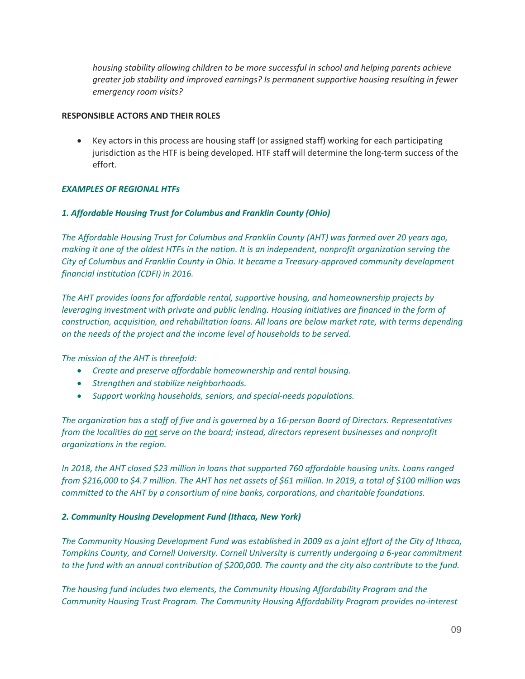*housing stability allowing children to be more successful in school and helping parents achieve greater job stability and improved earnings? Is permanent supportive housing resulting in fewer emergency room visits?*

#### **RESPONSIBLE ACTORS AND THEIR ROLES**

• Key actors in this process are housing staff (or assigned staff) working for each participating jurisdiction as the HTF is being developed. HTF staff will determine the long-term success of the effort.

#### *EXAMPLES OF REGIONAL HTFs*

#### *1. Affordable Housing Trust for Columbus and Franklin County (Ohio)*

*The Affordable Housing Trust for Columbus and Franklin County (AHT) was formed over 20 years ago, making it one of the oldest HTFs in the nation. It is an independent, nonprofit organization serving the City of Columbus and Franklin County in Ohio. It became a Treasury-approved community development financial institution (CDFI) in 2016.*

*The AHT provides loans for affordable rental, supportive housing, and homeownership projects by leveraging investment with private and public lending. Housing initiatives are financed in the form of construction, acquisition, and rehabilitation loans. All loans are below market rate, with terms depending on the needs of the project and the income level of households to be served.*

*The mission of the AHT is threefold:*

- *Create and preserve affordable homeownership and rental housing.*
- *Strengthen and stabilize neighborhoods.*
- *Support working households, seniors, and special-needs populations.*

*The organization has a staff of five and is governed by a 16-person Board of Directors. Representatives from the localities do not serve on the board; instead, directors represent businesses and nonprofit organizations in the region.*

*In 2018, the AHT closed \$23 million in loans that supported 760 affordable housing units. Loans ranged from \$216,000 to \$4.7 million. The AHT has net assets of \$61 million. In 2019, a total of \$100 million was committed to the AHT by a consortium of nine banks, corporations, and charitable foundations.* 

#### *2. Community Housing Development Fund (Ithaca, New York)*

*The Community Housing Development Fund was established in 2009 as a joint effort of the City of Ithaca, Tompkins County, and Cornell University. Cornell University is currently undergoing a 6-year commitment to the fund with an annual contribution of \$200,000. The county and the city also contribute to the fund.*

*The housing fund includes two elements, the Community Housing Affordability Program and the Community Housing Trust Program. The Community Housing Affordability Program provides no-interest*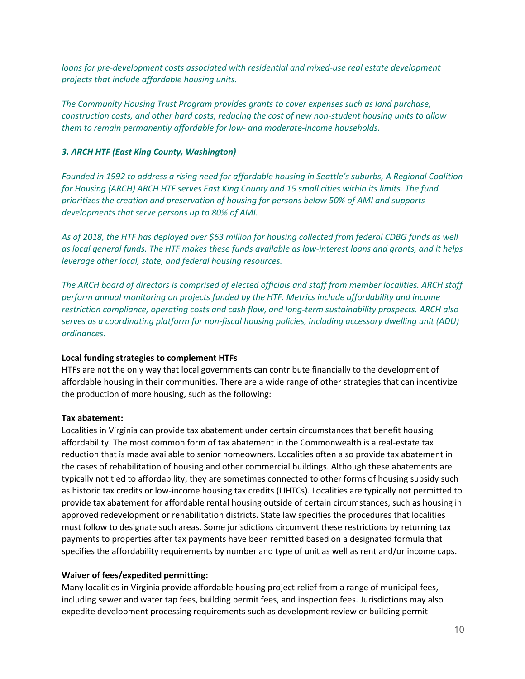*loans for pre-development costs associated with residential and mixed-use real estate development projects that include affordable housing units.*

*The Community Housing Trust Program provides grants to cover expenses such as land purchase, construction costs, and other hard costs, reducing the cost of new non-student housing units to allow them to remain permanently affordable for low- and moderate-income households.*

#### *3. ARCH HTF (East King County, Washington)*

*Founded in 1992 to address a rising need for affordable housing in Seattle's suburbs, A Regional Coalition for Housing (ARCH) ARCH HTF serves East King County and 15 small cities within its limits. The fund prioritizes the creation and preservation of housing for persons below 50% of AMI and supports developments that serve persons up to 80% of AMI.*

*As of 2018, the HTF has deployed over \$63 million for housing collected from federal CDBG funds as well as local general funds. The HTF makes these funds available as low-interest loans and grants, and it helps leverage other local, state, and federal housing resources.*

*The ARCH board of directors is comprised of elected officials and staff from member localities. ARCH staff perform annual monitoring on projects funded by the HTF. Metrics include affordability and income restriction compliance, operating costs and cash flow, and long-term sustainability prospects. ARCH also serves as a coordinating platform for non-fiscal housing policies, including accessory dwelling unit (ADU) ordinances.*

#### **Local funding strategies to complement HTFs**

HTFs are not the only way that local governments can contribute financially to the development of affordable housing in their communities. There are a wide range of other strategies that can incentivize the production of more housing, such as the following:

#### **Tax abatement:**

Localities in Virginia can provide tax abatement under certain circumstances that benefit housing affordability. The most common form of tax abatement in the Commonwealth is a real-estate tax reduction that is made available to senior homeowners. Localities often also provide tax abatement in the cases of rehabilitation of housing and other commercial buildings. Although these abatements are typically not tied to affordability, they are sometimes connected to other forms of housing subsidy such as historic tax credits or low-income housing tax credits (LIHTCs). Localities are typically not permitted to provide tax abatement for affordable rental housing outside of certain circumstances, such as housing in approved redevelopment or rehabilitation districts. State law specifies the procedures that localities must follow to designate such areas. Some jurisdictions circumvent these restrictions by returning tax payments to properties after tax payments have been remitted based on a designated formula that specifies the affordability requirements by number and type of unit as well as rent and/or income caps.

#### **Waiver of fees/expedited permitting:**

Many localities in Virginia provide affordable housing project relief from a range of municipal fees, including sewer and water tap fees, building permit fees, and inspection fees. Jurisdictions may also expedite development processing requirements such as development review or building permit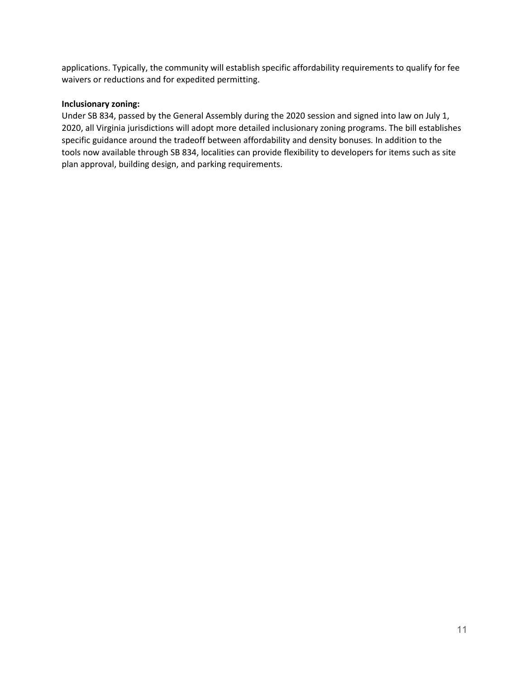applications. Typically, the community will establish specific affordability requirements to qualify for fee waivers or reductions and for expedited permitting.

#### **Inclusionary zoning:**

Under SB 834, passed by the General Assembly during the 2020 session and signed into law on July 1, 2020, all Virginia jurisdictions will adopt more detailed inclusionary zoning programs. The bill establishes specific guidance around the tradeoff between affordability and density bonuses. In addition to the tools now available through SB 834, localities can provide flexibility to developers for items such as site plan approval, building design, and parking requirements.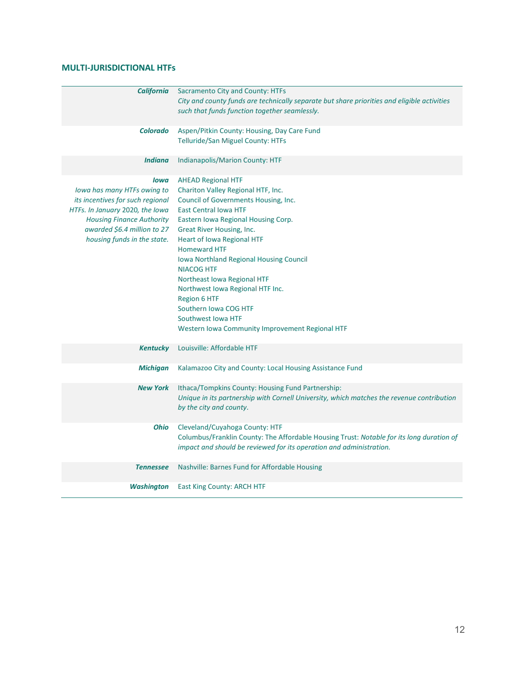#### **MULTI-JURISDICTIONAL HTFs**

| <b>California</b>                                                                                                                                                                                            | Sacramento City and County: HTFs<br>City and county funds are technically separate but share priorities and eligible activities<br>such that funds function together seamlessly.                                                                                                                                                                                                                                                                                                                                                    |
|--------------------------------------------------------------------------------------------------------------------------------------------------------------------------------------------------------------|-------------------------------------------------------------------------------------------------------------------------------------------------------------------------------------------------------------------------------------------------------------------------------------------------------------------------------------------------------------------------------------------------------------------------------------------------------------------------------------------------------------------------------------|
| <b>Colorado</b>                                                                                                                                                                                              | Aspen/Pitkin County: Housing, Day Care Fund<br><b>Telluride/San Miguel County: HTFs</b>                                                                                                                                                                                                                                                                                                                                                                                                                                             |
| <b>Indiana</b>                                                                                                                                                                                               | <b>Indianapolis/Marion County: HTF</b>                                                                                                                                                                                                                                                                                                                                                                                                                                                                                              |
| lowa<br>lowa has many HTFs owing to<br>its incentives for such regional<br>HTFs. In January 2020, the Iowa<br><b>Housing Finance Authority</b><br>awarded \$6.4 million to 27<br>housing funds in the state. | <b>AHEAD Regional HTF</b><br>Chariton Valley Regional HTF, Inc.<br>Council of Governments Housing, Inc.<br><b>East Central Iowa HTF</b><br>Eastern Iowa Regional Housing Corp.<br>Great River Housing, Inc.<br><b>Heart of Iowa Regional HTF</b><br><b>Homeward HTF</b><br>Iowa Northland Regional Housing Council<br><b>NIACOG HTF</b><br>Northeast Iowa Regional HTF<br>Northwest Iowa Regional HTF Inc.<br><b>Region 6 HTF</b><br>Southern Iowa COG HTF<br>Southwest Iowa HTF<br>Western Iowa Community Improvement Regional HTF |
| <b>Kentucky</b>                                                                                                                                                                                              | Louisville: Affordable HTF                                                                                                                                                                                                                                                                                                                                                                                                                                                                                                          |
| <b>Michigan</b>                                                                                                                                                                                              | Kalamazoo City and County: Local Housing Assistance Fund                                                                                                                                                                                                                                                                                                                                                                                                                                                                            |
| <b>New York</b>                                                                                                                                                                                              | Ithaca/Tompkins County: Housing Fund Partnership:<br>Unique in its partnership with Cornell University, which matches the revenue contribution<br>by the city and county.                                                                                                                                                                                                                                                                                                                                                           |
| <b>Ohio</b>                                                                                                                                                                                                  | Cleveland/Cuyahoga County: HTF<br>Columbus/Franklin County: The Affordable Housing Trust: Notable for its long duration of<br>impact and should be reviewed for its operation and administration.                                                                                                                                                                                                                                                                                                                                   |
| <b>Tennessee</b>                                                                                                                                                                                             | Nashville: Barnes Fund for Affordable Housing                                                                                                                                                                                                                                                                                                                                                                                                                                                                                       |
| Washington                                                                                                                                                                                                   | <b>East King County: ARCH HTF</b>                                                                                                                                                                                                                                                                                                                                                                                                                                                                                                   |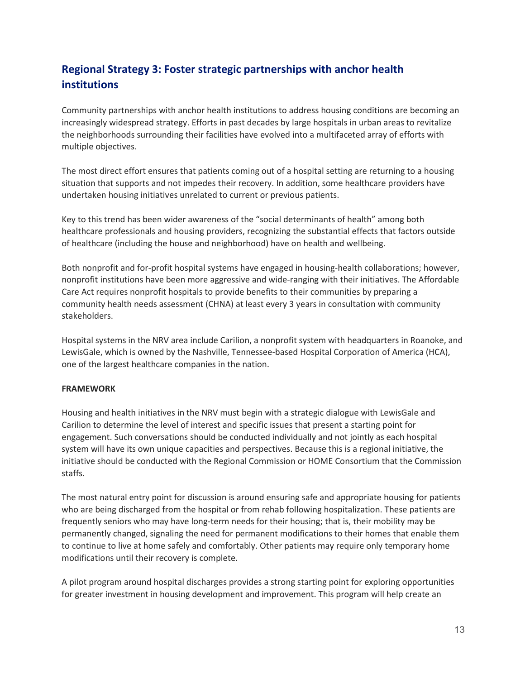## **Regional Strategy 3: Foster strategic partnerships with anchor health institutions**

Community partnerships with anchor health institutions to address housing conditions are becoming an increasingly widespread strategy. Efforts in past decades by large hospitals in urban areas to revitalize the neighborhoods surrounding their facilities have evolved into a multifaceted array of efforts with multiple objectives.

The most direct effort ensures that patients coming out of a hospital setting are returning to a housing situation that supports and not impedes their recovery. In addition, some healthcare providers have undertaken housing initiatives unrelated to current or previous patients.

Key to this trend has been wider awareness of the "social determinants of health" among both healthcare professionals and housing providers, recognizing the substantial effects that factors outside of healthcare (including the house and neighborhood) have on health and wellbeing.

Both nonprofit and for-profit hospital systems have engaged in housing-health collaborations; however, nonprofit institutions have been more aggressive and wide-ranging with their initiatives. The Affordable Care Act requires nonprofit hospitals to provide benefits to their communities by preparing a community health needs assessment (CHNA) at least every 3 years in consultation with community stakeholders.

Hospital systems in the NRV area include Carilion, a nonprofit system with headquarters in Roanoke, and LewisGale, which is owned by the Nashville, Tennessee-based Hospital Corporation of America (HCA), one of the largest healthcare companies in the nation.

#### **FRAMEWORK**

Housing and health initiatives in the NRV must begin with a strategic dialogue with LewisGale and Carilion to determine the level of interest and specific issues that present a starting point for engagement. Such conversations should be conducted individually and not jointly as each hospital system will have its own unique capacities and perspectives. Because this is a regional initiative, the initiative should be conducted with the Regional Commission or HOME Consortium that the Commission staffs.

The most natural entry point for discussion is around ensuring safe and appropriate housing for patients who are being discharged from the hospital or from rehab following hospitalization. These patients are frequently seniors who may have long-term needs for their housing; that is, their mobility may be permanently changed, signaling the need for permanent modifications to their homes that enable them to continue to live at home safely and comfortably. Other patients may require only temporary home modifications until their recovery is complete.

A pilot program around hospital discharges provides a strong starting point for exploring opportunities for greater investment in housing development and improvement. This program will help create an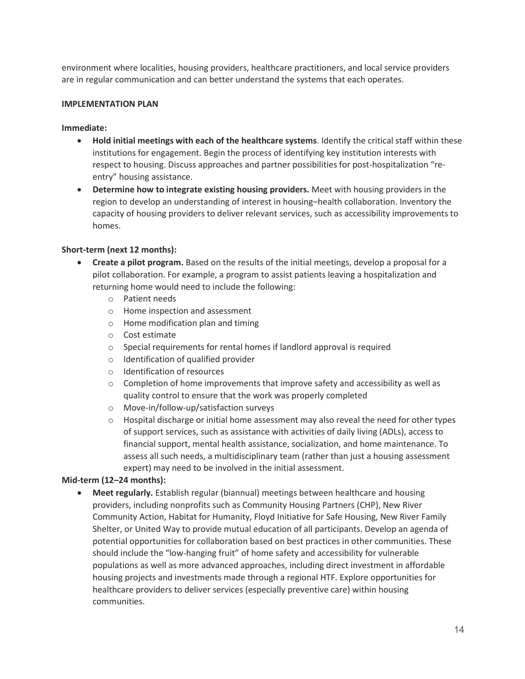environment where localities, housing providers, healthcare practitioners, and local service providers are in regular communication and can better understand the systems that each operates.

#### **IMPLEMENTATION PLAN**

#### **Immediate:**

- **Hold initial meetings with each of the healthcare systems**. Identify the critical staff within these institutions for engagement. Begin the process of identifying key institution interests with respect to housing. Discuss approaches and partner possibilities for post-hospitalization "reentry" housing assistance.
- **Determine how to integrate existing housing providers.** Meet with housing providers in the region to develop an understanding of interest in housing–health collaboration. Inventory the capacity of housing providers to deliver relevant services, such as accessibility improvements to homes.

#### **Short-term (next 12 months):**

- **Create a pilot program.** Based on the results of the initial meetings, develop a proposal for a pilot collaboration. For example, a program to assist patients leaving a hospitalization and returning home would need to include the following:
	- o Patient needs
	- o Home inspection and assessment
	- o Home modification plan and timing
	- o Cost estimate
	- o Special requirements for rental homes if landlord approval is required
	- o Identification of qualified provider
	- o Identification of resources
	- $\circ$  Completion of home improvements that improve safety and accessibility as well as quality control to ensure that the work was properly completed
	- o Move-in/follow-up/satisfaction surveys
	- $\circ$  Hospital discharge or initial home assessment may also reveal the need for other types of support services, such as assistance with activities of daily living (ADLs), access to financial support, mental health assistance, socialization, and home maintenance. To assess all such needs, a multidisciplinary team (rather than just a housing assessment expert) may need to be involved in the initial assessment.

#### **Mid-term (12–24 months):**

• **Meet regularly.** Establish regular (biannual) meetings between healthcare and housing providers, including nonprofits such as Community Housing Partners (CHP), New River Community Action, Habitat for Humanity, Floyd Initiative for Safe Housing, New River Family Shelter, or United Way to provide mutual education of all participants. Develop an agenda of potential opportunities for collaboration based on best practices in other communities. These should include the "low-hanging fruit" of home safety and accessibility for vulnerable populations as well as more advanced approaches, including direct investment in affordable housing projects and investments made through a regional HTF. Explore opportunities for healthcare providers to deliver services (especially preventive care) within housing communities.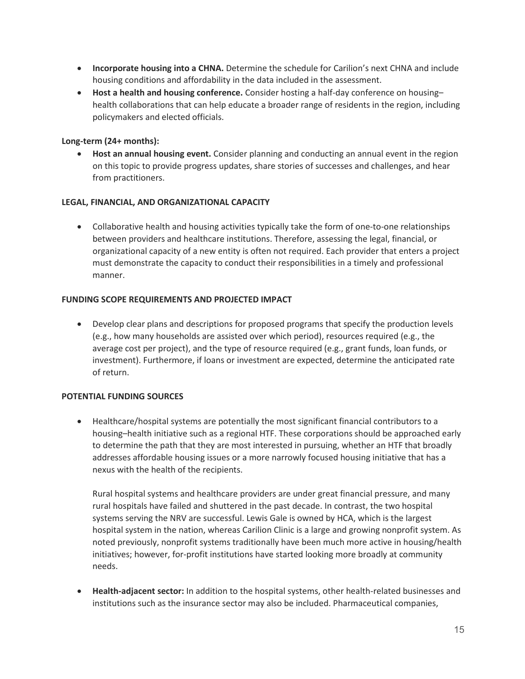- **Incorporate housing into a CHNA.** Determine the schedule for Carilion's next CHNA and include housing conditions and affordability in the data included in the assessment.
- **Host a health and housing conference.** Consider hosting a half-day conference on housing– health collaborations that can help educate a broader range of residents in the region, including policymakers and elected officials.

#### **Long-term (24+ months):**

• **Host an annual housing event.** Consider planning and conducting an annual event in the region on this topic to provide progress updates, share stories of successes and challenges, and hear from practitioners.

#### **LEGAL, FINANCIAL, AND ORGANIZATIONAL CAPACITY**

• Collaborative health and housing activities typically take the form of one-to-one relationships between providers and healthcare institutions. Therefore, assessing the legal, financial, or organizational capacity of a new entity is often not required. Each provider that enters a project must demonstrate the capacity to conduct their responsibilities in a timely and professional manner.

#### **FUNDING SCOPE REQUIREMENTS AND PROJECTED IMPACT**

• Develop clear plans and descriptions for proposed programs that specify the production levels (e.g., how many households are assisted over which period), resources required (e.g., the average cost per project), and the type of resource required (e.g., grant funds, loan funds, or investment). Furthermore, if loans or investment are expected, determine the anticipated rate of return.

#### **POTENTIAL FUNDING SOURCES**

• Healthcare/hospital systems are potentially the most significant financial contributors to a housing–health initiative such as a regional HTF. These corporations should be approached early to determine the path that they are most interested in pursuing, whether an HTF that broadly addresses affordable housing issues or a more narrowly focused housing initiative that has a nexus with the health of the recipients.

Rural hospital systems and healthcare providers are under great financial pressure, and many rural hospitals have failed and shuttered in the past decade. In contrast, the two hospital systems serving the NRV are successful. Lewis Gale is owned by HCA, which is the largest hospital system in the nation, whereas Carilion Clinic is a large and growing nonprofit system. As noted previously, nonprofit systems traditionally have been much more active in housing/health initiatives; however, for-profit institutions have started looking more broadly at community needs.

• **Health-adjacent sector:** In addition to the hospital systems, other health-related businesses and institutions such as the insurance sector may also be included. Pharmaceutical companies,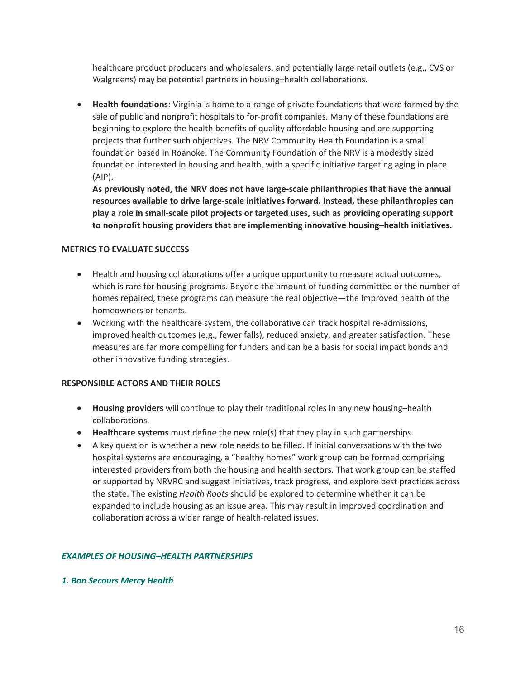healthcare product producers and wholesalers, and potentially large retail outlets (e.g., CVS or Walgreens) may be potential partners in housing–health collaborations.

• **Health foundations:** Virginia is home to a range of private foundations that were formed by the sale of public and nonprofit hospitals to for-profit companies. Many of these foundations are beginning to explore the health benefits of quality affordable housing and are supporting projects that further such objectives. The NRV Community Health Foundation is a small foundation based in Roanoke. The Community Foundation of the NRV is a modestly sized foundation interested in housing and health, with a specific initiative targeting aging in place (AIP).

**As previously noted, the NRV does not have large-scale philanthropies that have the annual resources available to drive large-scale initiatives forward. Instead, these philanthropies can play a role in small-scale pilot projects or targeted uses, such as providing operating support to nonprofit housing providers that are implementing innovative housing–health initiatives.**

#### **METRICS TO EVALUATE SUCCESS**

- Health and housing collaborations offer a unique opportunity to measure actual outcomes, which is rare for housing programs. Beyond the amount of funding committed or the number of homes repaired, these programs can measure the real objective—the improved health of the homeowners or tenants.
- Working with the healthcare system, the collaborative can track hospital re-admissions, improved health outcomes (e.g., fewer falls), reduced anxiety, and greater satisfaction. These measures are far more compelling for funders and can be a basis for social impact bonds and other innovative funding strategies.

#### **RESPONSIBLE ACTORS AND THEIR ROLES**

- **Housing providers** will continue to play their traditional roles in any new housing–health collaborations.
- **Healthcare systems** must define the new role(s) that they play in such partnerships.
- A key question is whether a new role needs to be filled. If initial conversations with the two hospital systems are encouraging, a "healthy homes" work group can be formed comprising interested providers from both the housing and health sectors. That work group can be staffed or supported by NRVRC and suggest initiatives, track progress, and explore best practices across the state. The existing *Health Roots* should be explored to determine whether it can be expanded to include housing as an issue area. This may result in improved coordination and collaboration across a wider range of health-related issues.

#### *EXAMPLES OF HOUSING–HEALTH PARTNERSHIPS*

#### *1. Bon Secours Mercy Health*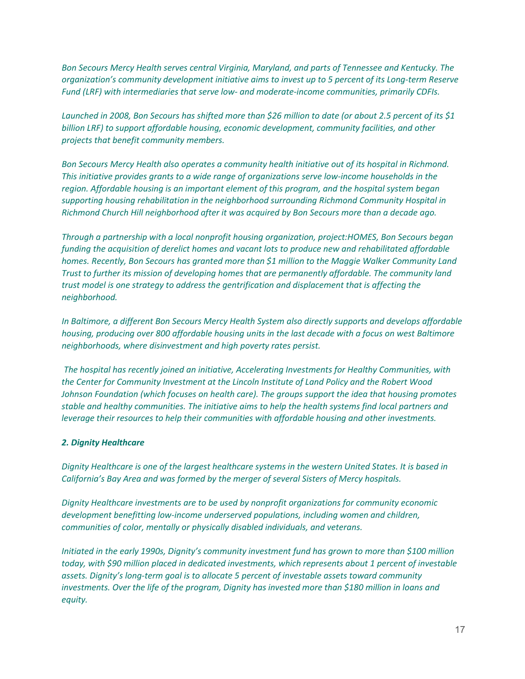*Bon Secours Mercy Health serves central Virginia, Maryland, and parts of Tennessee and Kentucky. The organization's community development initiative aims to invest up to 5 percent of its Long-term Reserve Fund (LRF) with intermediaries that serve low- and moderate-income communities, primarily CDFIs.*

*Launched in 2008, Bon Secours has shifted more than \$26 million to date (or about 2.5 percent of its \$1 billion LRF) to support affordable housing, economic development, community facilities, and other projects that benefit community members.*

*Bon Secours Mercy Health also operates a community health initiative out of its hospital in Richmond. This initiative provides grants to a wide range of organizations serve low-income households in the region. Affordable housing is an important element of this program, and the hospital system began supporting housing rehabilitation in the neighborhood surrounding Richmond Community Hospital in Richmond Church Hill neighborhood after it was acquired by Bon Secours more than a decade ago.*

*Through a partnership with a local nonprofit housing organization, project:HOMES, Bon Secours began funding the acquisition of derelict homes and vacant lots to produce new and rehabilitated affordable homes. Recently, Bon Secours has granted more than \$1 million to the Maggie Walker Community Land Trust to further its mission of developing homes that are permanently affordable. The community land trust model is one strategy to address the gentrification and displacement that is affecting the neighborhood.*

*In Baltimore, a different Bon Secours Mercy Health System also directly supports and develops affordable housing, producing over 800 affordable housing units in the last decade with a focus on west Baltimore neighborhoods, where disinvestment and high poverty rates persist.*

*The hospital has recently joined an initiative, Accelerating Investments for Healthy Communities, with the Center for Community Investment at the Lincoln Institute of Land Policy and the Robert Wood Johnson Foundation (which focuses on health care). The groups support the idea that housing promotes stable and healthy communities. The initiative aims to help the health systems find local partners and leverage their resources to help their communities with affordable housing and other investments.*

#### *2. Dignity Healthcare*

*Dignity Healthcare is one of the largest healthcare systems in the western United States. It is based in California's Bay Area and was formed by the merger of several Sisters of Mercy hospitals.* 

*Dignity Healthcare investments are to be used by nonprofit organizations for community economic development benefitting low-income underserved populations, including women and children, communities of color, mentally or physically disabled individuals, and veterans.*

*Initiated in the early 1990s, Dignity's community investment fund has grown to more than \$100 million today, with \$90 million placed in dedicated investments, which represents about 1 percent of investable assets. Dignity's long-term goal is to allocate 5 percent of investable assets toward community investments. Over the life of the program, Dignity has invested more than \$180 million in loans and equity.*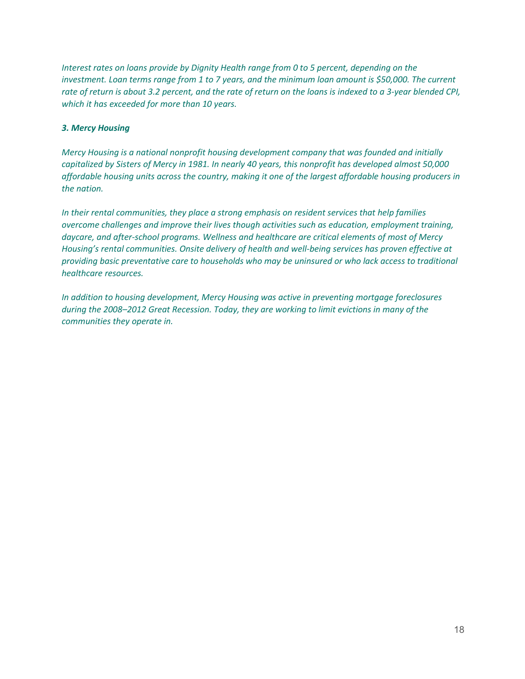*Interest rates on loans provide by Dignity Health range from 0 to 5 percent, depending on the investment. Loan terms range from 1 to 7 years, and the minimum loan amount is \$50,000. The current rate of return is about 3.2 percent, and the rate of return on the loans is indexed to a 3-year blended CPI, which it has exceeded for more than 10 years.*

#### *3. Mercy Housing*

*Mercy Housing is a national nonprofit housing development company that was founded and initially capitalized by Sisters of Mercy in 1981. In nearly 40 years, this nonprofit has developed almost 50,000 affordable housing units across the country, making it one of the largest affordable housing producers in the nation.*

*In their rental communities, they place a strong emphasis on resident services that help families overcome challenges and improve their lives though activities such as education, employment training, daycare, and after-school programs. Wellness and healthcare are critical elements of most of Mercy Housing's rental communities. Onsite delivery of health and well-being services has proven effective at providing basic preventative care to households who may be uninsured or who lack access to traditional healthcare resources.*

*In addition to housing development, Mercy Housing was active in preventing mortgage foreclosures during the 2008–2012 Great Recession. Today, they are working to limit evictions in many of the communities they operate in.*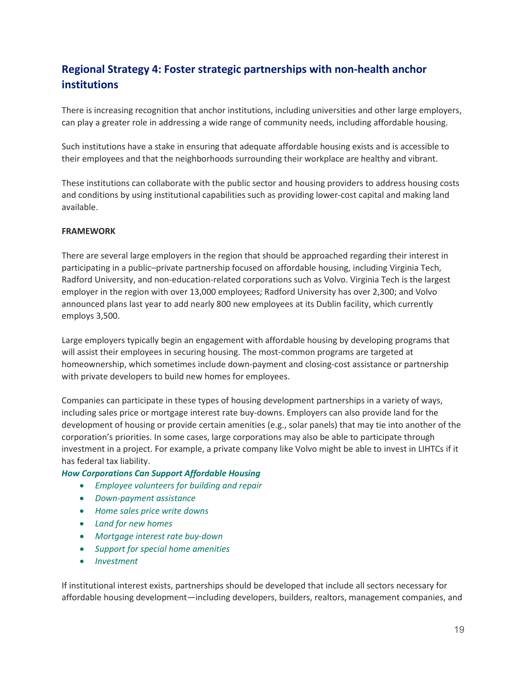## **Regional Strategy 4: Foster strategic partnerships with non-health anchor institutions**

There is increasing recognition that anchor institutions, including universities and other large employers, can play a greater role in addressing a wide range of community needs, including affordable housing.

Such institutions have a stake in ensuring that adequate affordable housing exists and is accessible to their employees and that the neighborhoods surrounding their workplace are healthy and vibrant.

These institutions can collaborate with the public sector and housing providers to address housing costs and conditions by using institutional capabilities such as providing lower-cost capital and making land available.

#### **FRAMEWORK**

There are several large employers in the region that should be approached regarding their interest in participating in a public–private partnership focused on affordable housing, including Virginia Tech, Radford University, and non-education-related corporations such as Volvo. Virginia Tech is the largest employer in the region with over 13,000 employees; Radford University has over 2,300; and Volvo announced plans last year to add nearly 800 new employees at its Dublin facility, which currently employs 3,500.

Large employers typically begin an engagement with affordable housing by developing programs that will assist their employees in securing housing. The most-common programs are targeted at homeownership, which sometimes include down-payment and closing-cost assistance or partnership with private developers to build new homes for employees.

Companies can participate in these types of housing development partnerships in a variety of ways, including sales price or mortgage interest rate buy-downs. Employers can also provide land for the development of housing or provide certain amenities (e.g., solar panels) that may tie into another of the corporation's priorities. In some cases, large corporations may also be able to participate through investment in a project. For example, a private company like Volvo might be able to invest in LIHTCs if it has federal tax liability.

#### *How Corporations Can Support Affordable Housing*

- *Employee volunteers for building and repair*
- *Down-payment assistance*
- *Home sales price write downs*
- *Land for new homes*
- *Mortgage interest rate buy-down*
- *Support for special home amenities*
- *Investment*

If institutional interest exists, partnerships should be developed that include all sectors necessary for affordable housing development—including developers, builders, realtors, management companies, and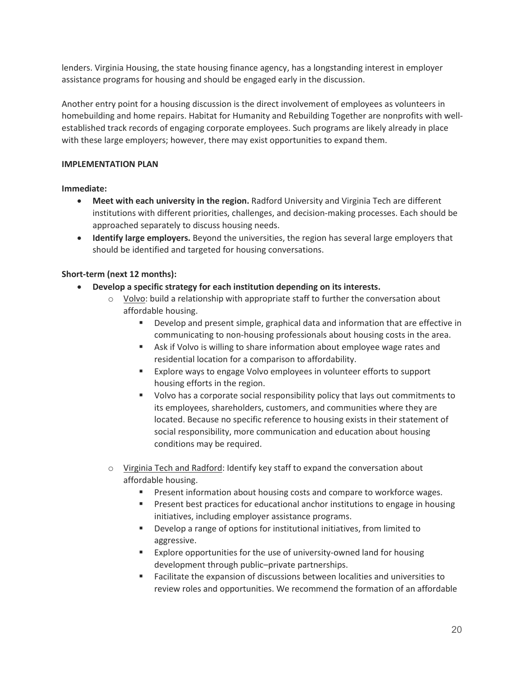lenders. Virginia Housing, the state housing finance agency, has a longstanding interest in employer assistance programs for housing and should be engaged early in the discussion.

Another entry point for a housing discussion is the direct involvement of employees as volunteers in homebuilding and home repairs. Habitat for Humanity and Rebuilding Together are nonprofits with wellestablished track records of engaging corporate employees. Such programs are likely already in place with these large employers; however, there may exist opportunities to expand them.

#### **IMPLEMENTATION PLAN**

**Immediate:**

- Meet with each university in the region. Radford University and Virginia Tech are different institutions with different priorities, challenges, and decision-making processes. Each should be approached separately to discuss housing needs.
- **Identify large employers.** Beyond the universities, the region has several large employers that should be identified and targeted for housing conversations.

#### **Short-term (next 12 months):**

- **Develop a specific strategy for each institution depending on its interests.**
	- $\circ$  Volvo: build a relationship with appropriate staff to further the conversation about affordable housing.
		- Develop and present simple, graphical data and information that are effective in communicating to non-housing professionals about housing costs in the area.
		- Ask if Volvo is willing to share information about employee wage rates and residential location for a comparison to affordability.
		- **Explore ways to engage Volvo employees in volunteer efforts to support** housing efforts in the region.
		- Volvo has a corporate social responsibility policy that lays out commitments to its employees, shareholders, customers, and communities where they are located. Because no specific reference to housing exists in their statement of social responsibility, more communication and education about housing conditions may be required.
	- $\circ$  Virginia Tech and Radford: Identify key staff to expand the conversation about affordable housing.
		- Present information about housing costs and compare to workforce wages.
		- **Present best practices for educational anchor institutions to engage in housing** initiatives, including employer assistance programs.
		- Develop a range of options for institutional initiatives, from limited to aggressive.
		- Explore opportunities for the use of university-owned land for housing development through public–private partnerships.
		- Facilitate the expansion of discussions between localities and universities to review roles and opportunities. We recommend the formation of an affordable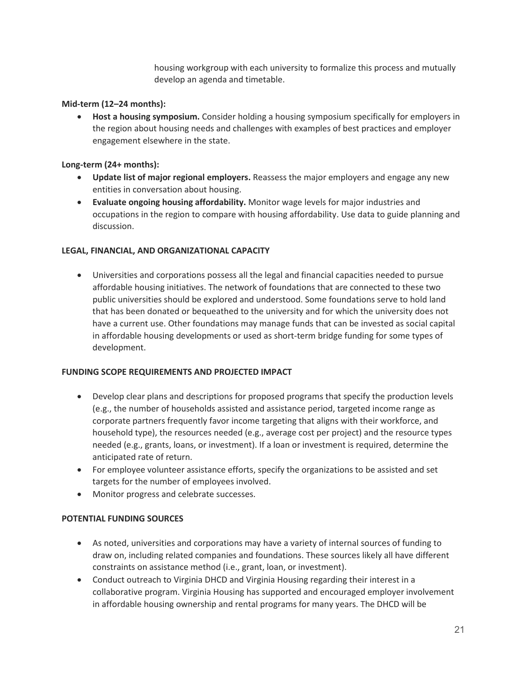housing workgroup with each university to formalize this process and mutually develop an agenda and timetable.

#### **Mid-term (12–24 months):**

• **Host a housing symposium.** Consider holding a housing symposium specifically for employers in the region about housing needs and challenges with examples of best practices and employer engagement elsewhere in the state.

#### **Long-term (24+ months):**

- **Update list of major regional employers.** Reassess the major employers and engage any new entities in conversation about housing.
- **Evaluate ongoing housing affordability.** Monitor wage levels for major industries and occupations in the region to compare with housing affordability. Use data to guide planning and discussion.

#### **LEGAL, FINANCIAL, AND ORGANIZATIONAL CAPACITY**

• Universities and corporations possess all the legal and financial capacities needed to pursue affordable housing initiatives. The network of foundations that are connected to these two public universities should be explored and understood. Some foundations serve to hold land that has been donated or bequeathed to the university and for which the university does not have a current use. Other foundations may manage funds that can be invested as social capital in affordable housing developments or used as short-term bridge funding for some types of development.

#### **FUNDING SCOPE REQUIREMENTS AND PROJECTED IMPACT**

- Develop clear plans and descriptions for proposed programs that specify the production levels (e.g., the number of households assisted and assistance period, targeted income range as corporate partners frequently favor income targeting that aligns with their workforce, and household type), the resources needed (e.g., average cost per project) and the resource types needed (e.g., grants, loans, or investment). If a loan or investment is required, determine the anticipated rate of return.
- For employee volunteer assistance efforts, specify the organizations to be assisted and set targets for the number of employees involved.
- Monitor progress and celebrate successes.

#### **POTENTIAL FUNDING SOURCES**

- As noted, universities and corporations may have a variety of internal sources of funding to draw on, including related companies and foundations. These sources likely all have different constraints on assistance method (i.e., grant, loan, or investment).
- Conduct outreach to Virginia DHCD and Virginia Housing regarding their interest in a collaborative program. Virginia Housing has supported and encouraged employer involvement in affordable housing ownership and rental programs for many years. The DHCD will be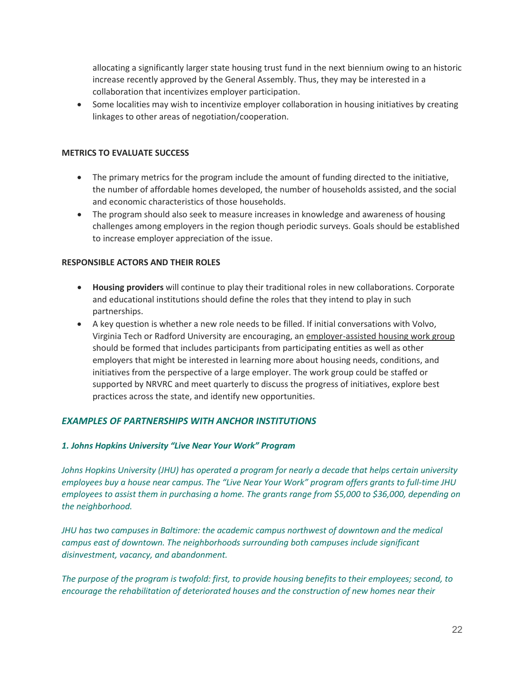allocating a significantly larger state housing trust fund in the next biennium owing to an historic increase recently approved by the General Assembly. Thus, they may be interested in a collaboration that incentivizes employer participation.

• Some localities may wish to incentivize employer collaboration in housing initiatives by creating linkages to other areas of negotiation/cooperation.

#### **METRICS TO EVALUATE SUCCESS**

- The primary metrics for the program include the amount of funding directed to the initiative, the number of affordable homes developed, the number of households assisted, and the social and economic characteristics of those households.
- The program should also seek to measure increases in knowledge and awareness of housing challenges among employers in the region though periodic surveys. Goals should be established to increase employer appreciation of the issue.

#### **RESPONSIBLE ACTORS AND THEIR ROLES**

- **Housing providers** will continue to play their traditional roles in new collaborations. Corporate and educational institutions should define the roles that they intend to play in such partnerships.
- A key question is whether a new role needs to be filled. If initial conversations with Volvo, Virginia Tech or Radford University are encouraging, an employer-assisted housing work group should be formed that includes participants from participating entities as well as other employers that might be interested in learning more about housing needs, conditions, and initiatives from the perspective of a large employer. The work group could be staffed or supported by NRVRC and meet quarterly to discuss the progress of initiatives, explore best practices across the state, and identify new opportunities.

#### *EXAMPLES OF PARTNERSHIPS WITH ANCHOR INSTITUTIONS*

#### *1. Johns Hopkins University "Live Near Your Work" Program*

*Johns Hopkins University (JHU) has operated a program for nearly a decade that helps certain university employees buy a house near campus. The "Live Near Your Work" program offers grants to full-time JHU employees to assist them in purchasing a home. The grants range from \$5,000 to \$36,000, depending on the neighborhood.* 

*JHU has two campuses in Baltimore: the academic campus northwest of downtown and the medical campus east of downtown. The neighborhoods surrounding both campuses include significant disinvestment, vacancy, and abandonment.*

*The purpose of the program is twofold: first, to provide housing benefits to their employees; second, to encourage the rehabilitation of deteriorated houses and the construction of new homes near their*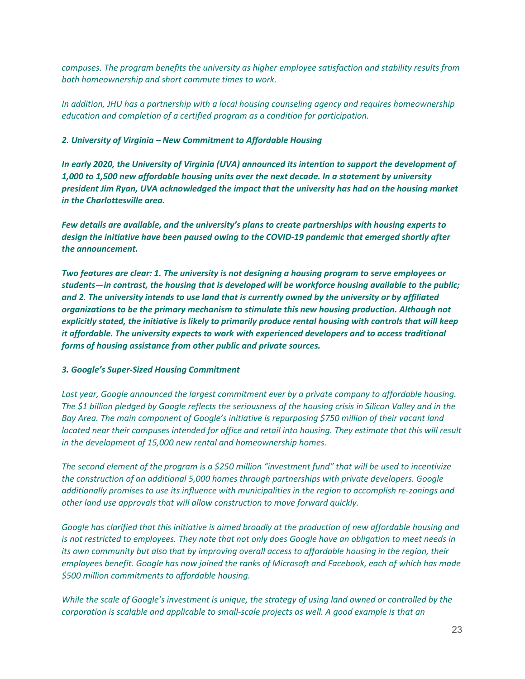*campuses. The program benefits the university as higher employee satisfaction and stability results from both homeownership and short commute times to work.*

*In addition, JHU has a partnership with a local housing counseling agency and requires homeownership education and completion of a certified program as a condition for participation.* 

#### *2. University of Virginia – New Commitment to Affordable Housing*

*In early 2020, the University of Virginia (UVA) announced its intention to support the development of 1,000 to 1,500 new affordable housing units over the next decade. In a statement by university president Jim Ryan, UVA acknowledged the impact that the university has had on the housing market in the Charlottesville area.*

*Few details are available, and the university's plans to create partnerships with housing experts to design the initiative have been paused owing to the COVID-19 pandemic that emerged shortly after the announcement.*

*Two features are clear: 1. The university is not designing a housing program to serve employees or students—in contrast, the housing that is developed will be workforce housing available to the public; and 2. The university intends to use land that is currently owned by the university or by affiliated organizations to be the primary mechanism to stimulate this new housing production. Although not explicitly stated, the initiative is likely to primarily produce rental housing with controls that will keep it affordable. The university expects to work with experienced developers and to access traditional forms of housing assistance from other public and private sources.* 

#### *3. Google's Super-Sized Housing Commitment*

Last year, Google announced the largest commitment ever by a private company to affordable housing. *The \$1 billion pledged by Google reflects the seriousness of the housing crisis in Silicon Valley and in the Bay Area. The main component of Google's initiative is repurposing \$750 million of their vacant land located near their campuses intended for office and retail into housing. They estimate that this will result in the development of 15,000 new rental and homeownership homes.*

*The second element of the program is a \$250 million "investment fund" that will be used to incentivize the construction of an additional 5,000 homes through partnerships with private developers. Google additionally promises to use its influence with municipalities in the region to accomplish re-zonings and other land use approvals that will allow construction to move forward quickly.* 

*Google has clarified that this initiative is aimed broadly at the production of new affordable housing and is not restricted to employees. They note that not only does Google have an obligation to meet needs in its own community but also that by improving overall access to affordable housing in the region, their employees benefit. Google has now joined the ranks of Microsoft and Facebook, each of which has made \$500 million commitments to affordable housing.*

*While the scale of Google's investment is unique, the strategy of using land owned or controlled by the corporation is scalable and applicable to small-scale projects as well. A good example is that an*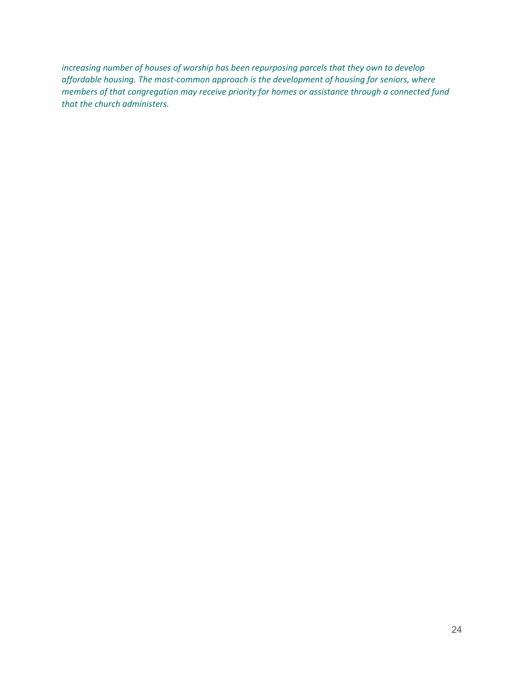increasing number of houses of worship has been repurposing parcels that they own to develop *affordable housing. The most-common approach is the development of housing for seniors, where members of that congregation may receive priority for homes or assistance through a connected fund that the church administers.*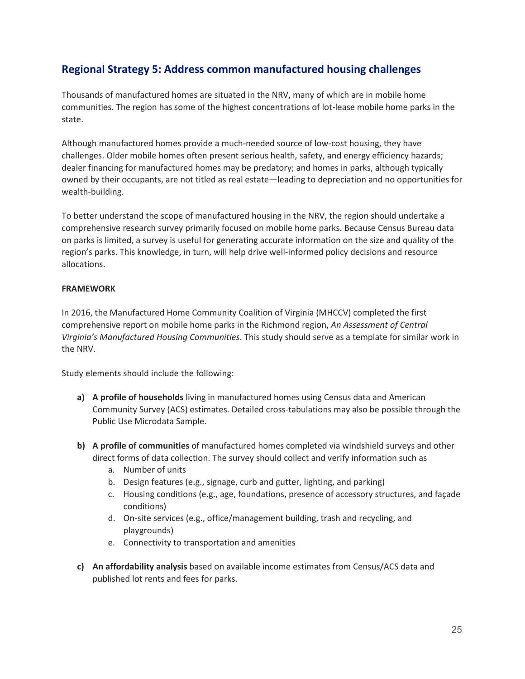## **Regional Strategy 5: Address common manufactured housing challenges**

Thousands of manufactured homes are situated in the NRV, many of which are in mobile home communities. The region has some of the highest concentrations of lot-lease mobile home parks in the state.

Although manufactured homes provide a much-needed source of low-cost housing, they have challenges. Older mobile homes often present serious health, safety, and energy efficiency hazards; dealer financing for manufactured homes may be predatory; and homes in parks, although typically owned by their occupants, are not titled as real estate—leading to depreciation and no opportunities for wealth-building.

To better understand the scope of manufactured housing in the NRV, the region should undertake a comprehensive research survey primarily focused on mobile home parks. Because Census Bureau data on parks is limited, a survey is useful for generating accurate information on the size and quality of the region's parks. This knowledge, in turn, will help drive well-informed policy decisions and resource allocations.

#### **FRAMEWORK**

In 2016, the Manufactured Home Community Coalition of Virginia (MHCCV) completed the first comprehensive report on mobile home parks in the Richmond region, *An Assessment of Central Virginia's Manufactured Housing Communities*. This study should serve as a template for similar work in the NRV.

Study elements should include the following:

- **a) A profile of households** living in manufactured homes using Census data and American Community Survey (ACS) estimates. Detailed cross-tabulations may also be possible through the Public Use Microdata Sample.
- **b) A profile of communities** of manufactured homes completed via windshield surveys and other direct forms of data collection. The survey should collect and verify information such as
	- a. Number of units
	- b. Design features (e.g., signage, curb and gutter, lighting, and parking)
	- c. Housing conditions (e.g., age, foundations, presence of accessory structures, and façade conditions)
	- d. On-site services (e.g., office/management building, trash and recycling, and playgrounds)
	- e. Connectivity to transportation and amenities
- **c) An affordability analysis** based on available income estimates from Census/ACS data and published lot rents and fees for parks.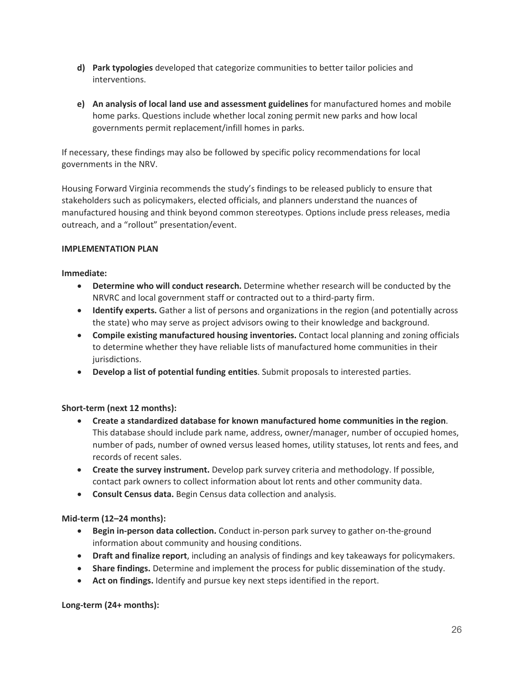- **d) Park typologies** developed that categorize communities to better tailor policies and interventions.
- **e) An analysis of local land use and assessment guidelines** for manufactured homes and mobile home parks. Questions include whether local zoning permit new parks and how local governments permit replacement/infill homes in parks.

If necessary, these findings may also be followed by specific policy recommendations for local governments in the NRV.

Housing Forward Virginia recommends the study's findings to be released publicly to ensure that stakeholders such as policymakers, elected officials, and planners understand the nuances of manufactured housing and think beyond common stereotypes. Options include press releases, media outreach, and a "rollout" presentation/event.

#### **IMPLEMENTATION PLAN**

#### **Immediate:**

- **Determine who will conduct research.** Determine whether research will be conducted by the NRVRC and local government staff or contracted out to a third-party firm.
- **Identify experts.** Gather a list of persons and organizations in the region (and potentially across the state) who may serve as project advisors owing to their knowledge and background.
- **Compile existing manufactured housing inventories.** Contact local planning and zoning officials to determine whether they have reliable lists of manufactured home communities in their jurisdictions.
- **Develop a list of potential funding entities**. Submit proposals to interested parties.

#### **Short-term (next 12 months):**

- **Create a standardized database for known manufactured home communities in the region**. This database should include park name, address, owner/manager, number of occupied homes, number of pads, number of owned versus leased homes, utility statuses, lot rents and fees, and records of recent sales.
- **Create the survey instrument.** Develop park survey criteria and methodology. If possible, contact park owners to collect information about lot rents and other community data.
- **Consult Census data.** Begin Census data collection and analysis.

#### **Mid-term (12–24 months):**

- **Begin in-person data collection.** Conduct in-person park survey to gather on-the-ground information about community and housing conditions.
- **Draft and finalize report**, including an analysis of findings and key takeaways for policymakers.
- **Share findings.** Determine and implement the process for public dissemination of the study.
- **Act on findings.** Identify and pursue key next steps identified in the report.

#### **Long-term (24+ months):**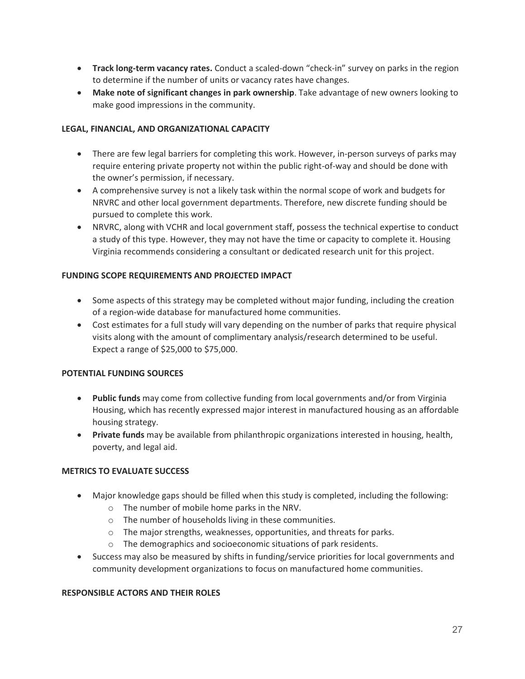- **Track long-term vacancy rates.** Conduct a scaled-down "check-in" survey on parks in the region to determine if the number of units or vacancy rates have changes.
- **Make note of significant changes in park ownership**. Take advantage of new owners looking to make good impressions in the community.

#### **LEGAL, FINANCIAL, AND ORGANIZATIONAL CAPACITY**

- There are few legal barriers for completing this work. However, in-person surveys of parks may require entering private property not within the public right-of-way and should be done with the owner's permission, if necessary.
- A comprehensive survey is not a likely task within the normal scope of work and budgets for NRVRC and other local government departments. Therefore, new discrete funding should be pursued to complete this work.
- NRVRC, along with VCHR and local government staff, possess the technical expertise to conduct a study of this type. However, they may not have the time or capacity to complete it. Housing Virginia recommends considering a consultant or dedicated research unit for this project.

#### **FUNDING SCOPE REQUIREMENTS AND PROJECTED IMPACT**

- Some aspects of this strategy may be completed without major funding, including the creation of a region-wide database for manufactured home communities.
- Cost estimates for a full study will vary depending on the number of parks that require physical visits along with the amount of complimentary analysis/research determined to be useful. Expect a range of \$25,000 to \$75,000.

#### **POTENTIAL FUNDING SOURCES**

- **Public funds** may come from collective funding from local governments and/or from Virginia Housing, which has recently expressed major interest in manufactured housing as an affordable housing strategy.
- **Private funds** may be available from philanthropic organizations interested in housing, health, poverty, and legal aid.

#### **METRICS TO EVALUATE SUCCESS**

- Major knowledge gaps should be filled when this study is completed, including the following:
	- o The number of mobile home parks in the NRV.
	- o The number of households living in these communities.
	- o The major strengths, weaknesses, opportunities, and threats for parks.
	- o The demographics and socioeconomic situations of park residents.
- Success may also be measured by shifts in funding/service priorities for local governments and community development organizations to focus on manufactured home communities.

#### **RESPONSIBLE ACTORS AND THEIR ROLES**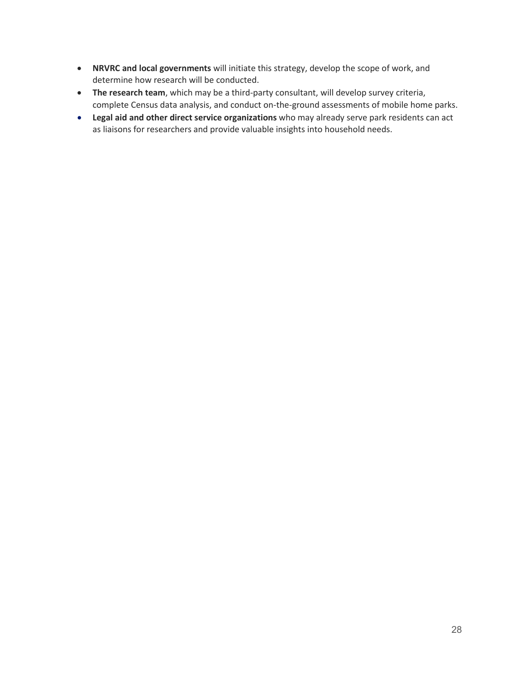- **NRVRC and local governments** will initiate this strategy, develop the scope of work, and determine how research will be conducted.
- **The research team**, which may be a third-party consultant, will develop survey criteria, complete Census data analysis, and conduct on-the-ground assessments of mobile home parks.
- **Legal aid and other direct service organizations** who may already serve park residents can act as liaisons for researchers and provide valuable insights into household needs.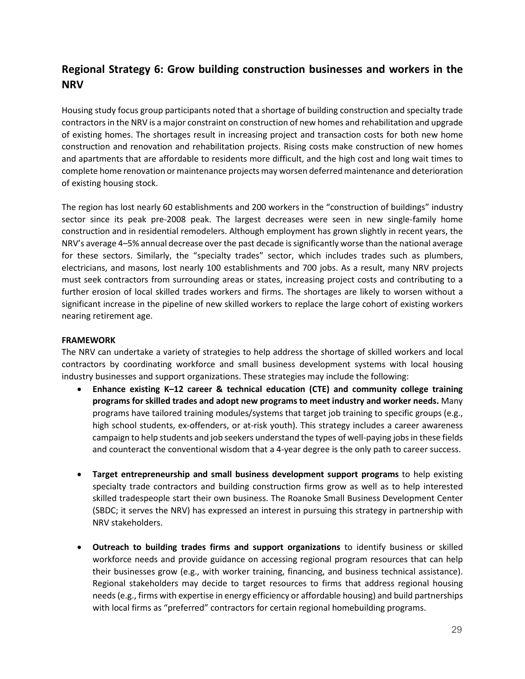## **Regional Strategy 6: Grow building construction businesses and workers in the NRV**

Housing study focus group participants noted that a shortage of building construction and specialty trade contractors in the NRV is a major constraint on construction of new homes and rehabilitation and upgrade of existing homes. The shortages result in increasing project and transaction costs for both new home construction and renovation and rehabilitation projects. Rising costs make construction of new homes and apartments that are affordable to residents more difficult, and the high cost and long wait times to complete home renovation or maintenance projects may worsen deferred maintenance and deterioration of existing housing stock.

The region has lost nearly 60 establishments and 200 workers in the "construction of buildings" industry sector since its peak pre-2008 peak. The largest decreases were seen in new single-family home construction and in residential remodelers. Although employment has grown slightly in recent years, the NRV's average 4–5% annual decrease over the past decade is significantly worse than the national average for these sectors. Similarly, the "specialty trades" sector, which includes trades such as plumbers, electricians, and masons, lost nearly 100 establishments and 700 jobs. As a result, many NRV projects must seek contractors from surrounding areas or states, increasing project costs and contributing to a further erosion of local skilled trades workers and firms. The shortages are likely to worsen without a significant increase in the pipeline of new skilled workers to replace the large cohort of existing workers nearing retirement age.

#### **FRAMEWORK**

The NRV can undertake a variety of strategies to help address the shortage of skilled workers and local contractors by coordinating workforce and small business development systems with local housing industry businesses and support organizations. These strategies may include the following:

- **Enhance existing K–12 career & technical education (CTE) and community college training programs for skilled trades and adopt new programs to meet industry and worker needs.** Many programs have tailored training modules/systems that target job training to specific groups (e.g., high school students, ex-offenders, or at-risk youth). This strategy includes a career awareness campaign to help students and job seekers understand the types of well-paying jobs in these fields and counteract the conventional wisdom that a 4-year degree is the only path to career success.
- **Target entrepreneurship and small business development support programs** to help existing specialty trade contractors and building construction firms grow as well as to help interested skilled tradespeople start their own business. The Roanoke Small Business Development Center (SBDC; it serves the NRV) has expressed an interest in pursuing this strategy in partnership with NRV stakeholders.
- **Outreach to building trades firms and support organizations** to identify business or skilled workforce needs and provide guidance on accessing regional program resources that can help their businesses grow (e.g., with worker training, financing, and business technical assistance). Regional stakeholders may decide to target resources to firms that address regional housing needs (e.g., firms with expertise in energy efficiency or affordable housing) and build partnerships with local firms as "preferred" contractors for certain regional homebuilding programs.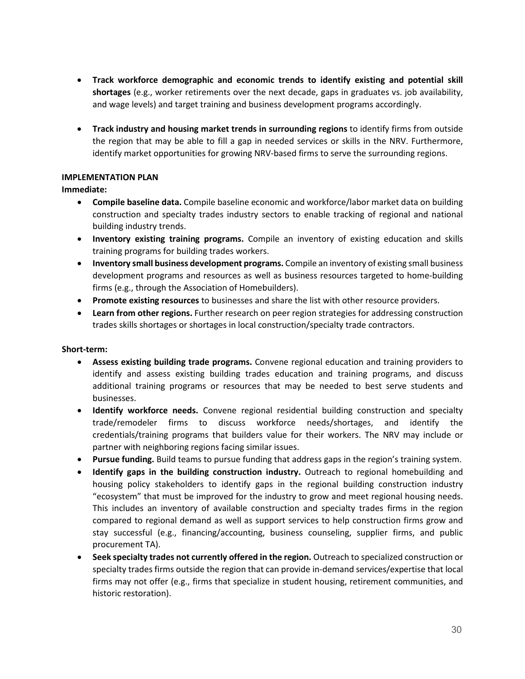- **Track workforce demographic and economic trends to identify existing and potential skill shortages** (e.g., worker retirements over the next decade, gaps in graduates vs. job availability, and wage levels) and target training and business development programs accordingly.
- **Track industry and housing market trends in surrounding regions** to identify firms from outside the region that may be able to fill a gap in needed services or skills in the NRV. Furthermore, identify market opportunities for growing NRV-based firms to serve the surrounding regions.

#### **IMPLEMENTATION PLAN**

#### **Immediate:**

- **Compile baseline data.** Compile baseline economic and workforce/labor market data on building construction and specialty trades industry sectors to enable tracking of regional and national building industry trends.
- **Inventory existing training programs.** Compile an inventory of existing education and skills training programs for building trades workers.
- **Inventory small business development programs.** Compile an inventory of existing small business development programs and resources as well as business resources targeted to home-building firms (e.g., through the Association of Homebuilders).
- **Promote existing resources** to businesses and share the list with other resource providers.
- **Learn from other regions.** Further research on peer region strategies for addressing construction trades skills shortages or shortages in local construction/specialty trade contractors.

#### **Short-term:**

- **Assess existing building trade programs.** Convene regional education and training providers to identify and assess existing building trades education and training programs, and discuss additional training programs or resources that may be needed to best serve students and businesses.
- **Identify workforce needs.** Convene regional residential building construction and specialty trade/remodeler firms to discuss workforce needs/shortages, and identify the credentials/training programs that builders value for their workers. The NRV may include or partner with neighboring regions facing similar issues.
- **Pursue funding.** Build teams to pursue funding that address gaps in the region's training system.
- **Identify gaps in the building construction industry.** Outreach to regional homebuilding and housing policy stakeholders to identify gaps in the regional building construction industry "ecosystem" that must be improved for the industry to grow and meet regional housing needs. This includes an inventory of available construction and specialty trades firms in the region compared to regional demand as well as support services to help construction firms grow and stay successful (e.g., financing/accounting, business counseling, supplier firms, and public procurement TA).
- **Seek specialty trades not currently offered in the region.** Outreach to specialized construction or specialty trades firms outside the region that can provide in-demand services/expertise that local firms may not offer (e.g., firms that specialize in student housing, retirement communities, and historic restoration).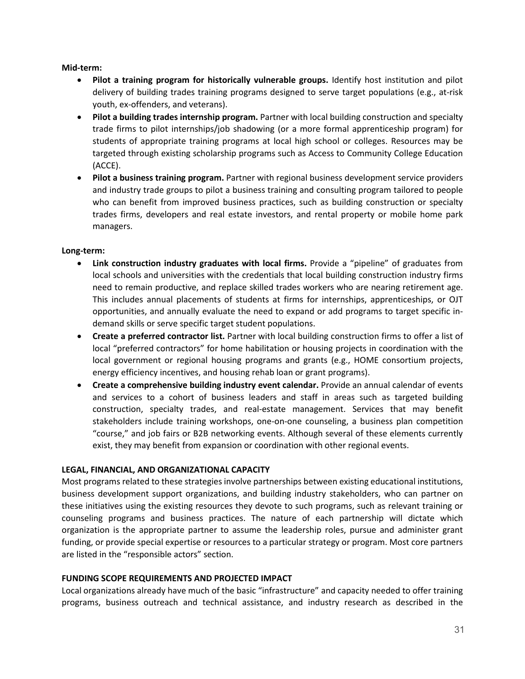**Mid-term:**

- **Pilot a training program for historically vulnerable groups.** Identify host institution and pilot delivery of building trades training programs designed to serve target populations (e.g., at-risk youth, ex-offenders, and veterans).
- **Pilot a building trades internship program.** Partner with local building construction and specialty trade firms to pilot internships/job shadowing (or a more formal apprenticeship program) for students of appropriate training programs at local high school or colleges. Resources may be targeted through existing scholarship programs such as Access to Community College Education (ACCE).
- **Pilot a business training program.** Partner with regional business development service providers and industry trade groups to pilot a business training and consulting program tailored to people who can benefit from improved business practices, such as building construction or specialty trades firms, developers and real estate investors, and rental property or mobile home park managers.

#### **Long-term:**

- **Link construction industry graduates with local firms.** Provide a "pipeline" of graduates from local schools and universities with the credentials that local building construction industry firms need to remain productive, and replace skilled trades workers who are nearing retirement age. This includes annual placements of students at firms for internships, apprenticeships, or OJT opportunities, and annually evaluate the need to expand or add programs to target specific indemand skills or serve specific target student populations.
- **Create a preferred contractor list.** Partner with local building construction firms to offer a list of local "preferred contractors" for home habilitation or housing projects in coordination with the local government or regional housing programs and grants (e.g., HOME consortium projects, energy efficiency incentives, and housing rehab loan or grant programs).
- **Create a comprehensive building industry event calendar.** Provide an annual calendar of events and services to a cohort of business leaders and staff in areas such as targeted building construction, specialty trades, and real-estate management. Services that may benefit stakeholders include training workshops, one-on-one counseling, a business plan competition "course," and job fairs or B2B networking events. Although several of these elements currently exist, they may benefit from expansion or coordination with other regional events.

#### **LEGAL, FINANCIAL, AND ORGANIZATIONAL CAPACITY**

Most programs related to these strategies involve partnerships between existing educational institutions, business development support organizations, and building industry stakeholders, who can partner on these initiatives using the existing resources they devote to such programs, such as relevant training or counseling programs and business practices. The nature of each partnership will dictate which organization is the appropriate partner to assume the leadership roles, pursue and administer grant funding, or provide special expertise or resources to a particular strategy or program. Most core partners are listed in the "responsible actors" section.

#### **FUNDING SCOPE REQUIREMENTS AND PROJECTED IMPACT**

Local organizations already have much of the basic "infrastructure" and capacity needed to offer training programs, business outreach and technical assistance, and industry research as described in the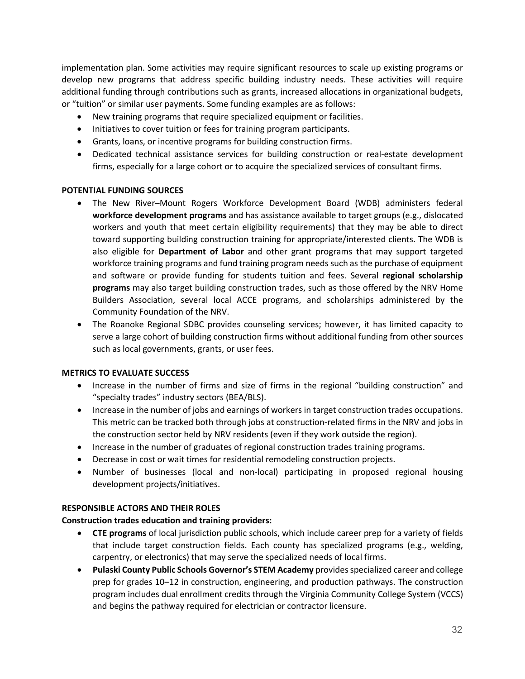implementation plan. Some activities may require significant resources to scale up existing programs or develop new programs that address specific building industry needs. These activities will require additional funding through contributions such as grants, increased allocations in organizational budgets, or "tuition" or similar user payments. Some funding examples are as follows:

- New training programs that require specialized equipment or facilities.
- Initiatives to cover tuition or fees for training program participants.
- Grants, loans, or incentive programs for building construction firms.
- Dedicated technical assistance services for building construction or real-estate development firms, especially for a large cohort or to acquire the specialized services of consultant firms.

#### **POTENTIAL FUNDING SOURCES**

- The New River–Mount Rogers Workforce Development Board (WDB) administers federal **workforce development programs** and has assistance available to target groups (e.g., dislocated workers and youth that meet certain eligibility requirements) that they may be able to direct toward supporting building construction training for appropriate/interested clients. The WDB is also eligible for **Department of Labor** and other grant programs that may support targeted workforce training programs and fund training program needs such as the purchase of equipment and software or provide funding for students tuition and fees. Several **regional scholarship programs** may also target building construction trades, such as those offered by the NRV Home Builders Association, several local ACCE programs, and scholarships administered by the Community Foundation of the NRV.
- The Roanoke Regional SDBC provides counseling services; however, it has limited capacity to serve a large cohort of building construction firms without additional funding from other sources such as local governments, grants, or user fees.

#### **METRICS TO EVALUATE SUCCESS**

- Increase in the number of firms and size of firms in the regional "building construction" and "specialty trades" industry sectors (BEA/BLS).
- Increase in the number of jobs and earnings of workers in target construction trades occupations. This metric can be tracked both through jobs at construction-related firms in the NRV and jobs in the construction sector held by NRV residents (even if they work outside the region).
- Increase in the number of graduates of regional construction trades training programs.
- Decrease in cost or wait times for residential remodeling construction projects.
- Number of businesses (local and non-local) participating in proposed regional housing development projects/initiatives.

#### **RESPONSIBLE ACTORS AND THEIR ROLES**

#### **Construction trades education and training providers:**

- **CTE programs** of local jurisdiction public schools, which include career prep for a variety of fields that include target construction fields. Each county has specialized programs (e.g., welding, carpentry, or electronics) that may serve the specialized needs of local firms.
- **Pulaski County Public Schools Governor's STEM Academy** provides specialized career and college prep for grades 10–12 in construction, engineering, and production pathways. The construction program includes dual enrollment credits through the Virginia Community College System (VCCS) and begins the pathway required for electrician or contractor licensure.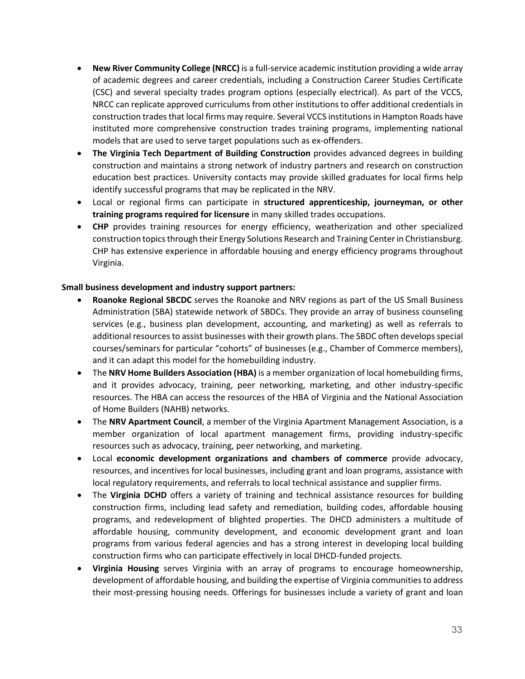- **New River Community College (NRCC)** is a full-service academic institution providing a wide array of academic degrees and career credentials, including a Construction Career Studies Certificate (CSC) and several specialty trades program options (especially electrical). As part of the VCCS, NRCC can replicate approved curriculums from other institutions to offer additional credentials in construction trades that local firms may require. Several VCCS institutions in Hampton Roads have instituted more comprehensive construction trades training programs, implementing national models that are used to serve target populations such as ex-offenders.
- **The Virginia Tech Department of Building Construction** provides advanced degrees in building construction and maintains a strong network of industry partners and research on construction education best practices. University contacts may provide skilled graduates for local firms help identify successful programs that may be replicated in the NRV.
- Local or regional firms can participate in **structured apprenticeship, journeyman, or other training programs required for licensure** in many skilled trades occupations.
- **CHP** provides training resources for energy efficiency, weatherization and other specialized construction topics through their Energy Solutions Research and Training Center in Christiansburg. CHP has extensive experience in affordable housing and energy efficiency programs throughout Virginia.

#### **Small business development and industry support partners:**

- **Roanoke Regional SBCDC** serves the Roanoke and NRV regions as part of the US Small Business Administration (SBA) statewide network of SBDCs. They provide an array of business counseling services (e.g., business plan development, accounting, and marketing) as well as referrals to additional resources to assist businesses with their growth plans. The SBDC often develops special courses/seminars for particular "cohorts" of businesses (e.g., Chamber of Commerce members), and it can adapt this model for the homebuilding industry.
- The **NRV Home Builders Association (HBA)** is a member organization of local homebuilding firms, and it provides advocacy, training, peer networking, marketing, and other industry-specific resources. The HBA can access the resources of the HBA of Virginia and the National Association of Home Builders (NAHB) networks.
- The **NRV Apartment Council**, a member of the Virginia Apartment Management Association, is a member organization of local apartment management firms, providing industry-specific resources such as advocacy, training, peer networking, and marketing.
- Local **economic development organizations and chambers of commerce** provide advocacy, resources, and incentives for local businesses, including grant and loan programs, assistance with local regulatory requirements, and referrals to local technical assistance and supplier firms.
- The **Virginia DCHD** offers a variety of training and technical assistance resources for building construction firms, including lead safety and remediation, building codes, affordable housing programs, and redevelopment of blighted properties. The DHCD administers a multitude of affordable housing, community development, and economic development grant and loan programs from various federal agencies and has a strong interest in developing local building construction firms who can participate effectively in local DHCD-funded projects.
- **Virginia Housing** serves Virginia with an array of programs to encourage homeownership, development of affordable housing, and building the expertise of Virginia communities to address their most-pressing housing needs. Offerings for businesses include a variety of grant and loan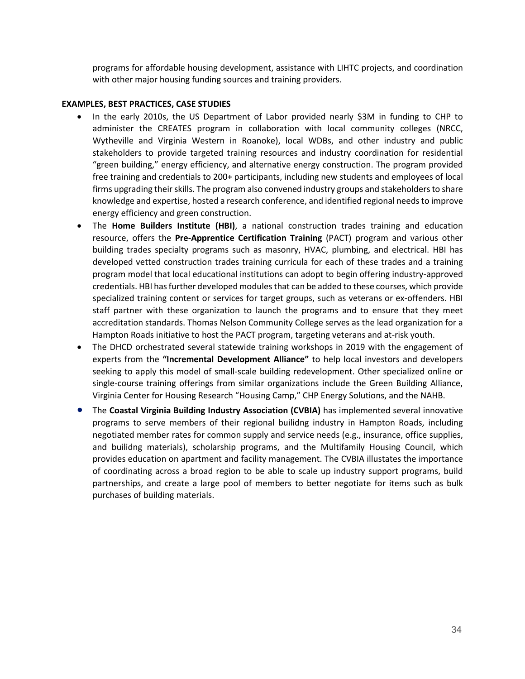programs for affordable housing development, assistance with LIHTC projects, and coordination with other major housing funding sources and training providers.

#### **EXAMPLES, BEST PRACTICES, CASE STUDIES**

- In the early 2010s, the US Department of Labor provided nearly \$3M in funding to CHP to administer the CREATES program in collaboration with local community colleges (NRCC, Wytheville and Virginia Western in Roanoke), local WDBs, and other industry and public stakeholders to provide targeted training resources and industry coordination for residential "green building," energy efficiency, and alternative energy construction. The program provided free training and credentials to 200+ participants, including new students and employees of local firms upgrading their skills. The program also convened industry groups and stakeholders to share knowledge and expertise, hosted a research conference, and identified regional needs to improve energy efficiency and green construction.
- The **Home Builders Institute (HBI)**, a national construction trades training and education resource, offers the **Pre-Apprentice Certification Training** (PACT) program and various other building trades specialty programs such as masonry, HVAC, plumbing, and electrical. HBI has developed vetted construction trades training curricula for each of these trades and a training program model that local educational institutions can adopt to begin offering industry-approved credentials. HBI has further developed modules that can be added to these courses, which provide specialized training content or services for target groups, such as veterans or ex-offenders. HBI staff partner with these organization to launch the programs and to ensure that they meet accreditation standards. Thomas Nelson Community College serves as the lead organization for a Hampton Roads initiative to host the PACT program, targeting veterans and at-risk youth.
- The DHCD orchestrated several statewide training workshops in 2019 with the engagement of experts from the **"Incremental Development Alliance"** to help local investors and developers seeking to apply this model of small-scale building redevelopment. Other specialized online or single-course training offerings from similar organizations include the Green Building Alliance, Virginia Center for Housing Research "Housing Camp," CHP Energy Solutions, and the NAHB.
- The **Coastal Virginia Building Industry Association (CVBIA)** has implemented several innovative programs to serve members of their regional builidng industry in Hampton Roads, including negotiated member rates for common supply and service needs (e.g., insurance, office supplies, and builidng materials), scholarship programs, and the Multifamily Housing Council, which provides education on apartment and facility management. The CVBIA illustates the importance of coordinating across a broad region to be able to scale up industry support programs, build partnerships, and create a large pool of members to better negotiate for items such as bulk purchases of building materials.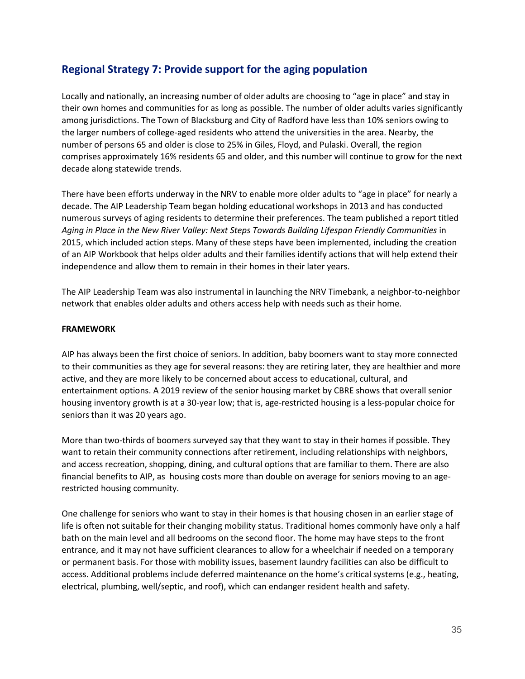### **Regional Strategy 7: Provide support for the aging population**

Locally and nationally, an increasing number of older adults are choosing to "age in place" and stay in their own homes and communities for as long as possible. The number of older adults varies significantly among jurisdictions. The Town of Blacksburg and City of Radford have less than 10% seniors owing to the larger numbers of college-aged residents who attend the universities in the area. Nearby, the number of persons 65 and older is close to 25% in Giles, Floyd, and Pulaski. Overall, the region comprises approximately 16% residents 65 and older, and this number will continue to grow for the next decade along statewide trends.

There have been efforts underway in the NRV to enable more older adults to "age in place" for nearly a decade. The AIP Leadership Team began holding educational workshops in 2013 and has conducted numerous surveys of aging residents to determine their preferences. The team published a report titled *Aging in Place in the New River Valley: Next Steps Towards Building Lifespan Friendly Communities* in 2015, which included action steps. Many of these steps have been implemented, including the creation of an AIP Workbook that helps older adults and their families identify actions that will help extend their independence and allow them to remain in their homes in their later years.

The AIP Leadership Team was also instrumental in launching the NRV Timebank, a neighbor-to-neighbor network that enables older adults and others access help with needs such as their home.

#### **FRAMEWORK**

AIP has always been the first choice of seniors. In addition, baby boomers want to stay more connected to their communities as they age for several reasons: they are retiring later, they are healthier and more active, and they are more likely to be concerned about access to educational, cultural, and entertainment options. A 2019 review of the senior housing market by CBRE shows that overall senior housing inventory growth is at a 30-year low; that is, age-restricted housing is a less-popular choice for seniors than it was 20 years ago.

More than two-thirds of boomers surveyed say that they want to stay in their homes if possible. They want to retain their community connections after retirement, including relationships with neighbors, and access recreation, shopping, dining, and cultural options that are familiar to them. There are also financial benefits to AIP, as housing costs more than double on average for seniors moving to an agerestricted housing community.

One challenge for seniors who want to stay in their homes is that housing chosen in an earlier stage of life is often not suitable for their changing mobility status. Traditional homes commonly have only a half bath on the main level and all bedrooms on the second floor. The home may have steps to the front entrance, and it may not have sufficient clearances to allow for a wheelchair if needed on a temporary or permanent basis. For those with mobility issues, basement laundry facilities can also be difficult to access. Additional problems include deferred maintenance on the home's critical systems (e.g., heating, electrical, plumbing, well/septic, and roof), which can endanger resident health and safety.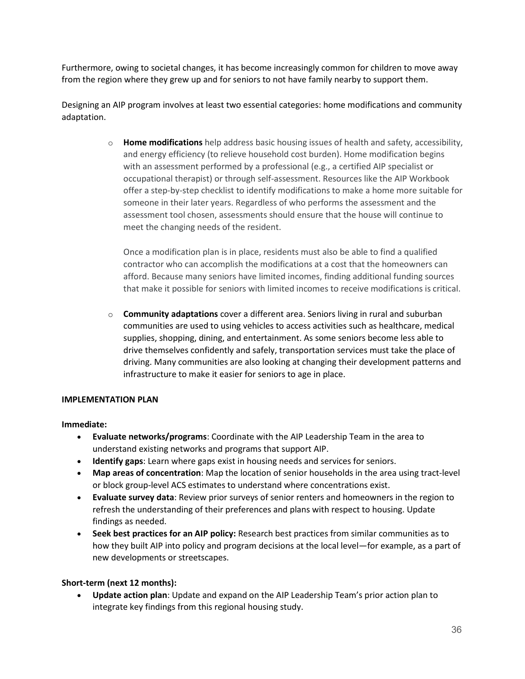Furthermore, owing to societal changes, it has become increasingly common for children to move away from the region where they grew up and for seniors to not have family nearby to support them.

Designing an AIP program involves at least two essential categories: home modifications and community adaptation.

> o **Home modifications** help address basic housing issues of health and safety, accessibility, and energy efficiency (to relieve household cost burden). Home modification begins with an assessment performed by a professional (e.g., a certified AIP specialist or occupational therapist) or through self-assessment. Resources like the AIP Workbook offer a step-by-step checklist to identify modifications to make a home more suitable for someone in their later years. Regardless of who performs the assessment and the assessment tool chosen, assessments should ensure that the house will continue to meet the changing needs of the resident.

Once a modification plan is in place, residents must also be able to find a qualified contractor who can accomplish the modifications at a cost that the homeowners can afford. Because many seniors have limited incomes, finding additional funding sources that make it possible for seniors with limited incomes to receive modifications is critical.

o **Community adaptations** cover a different area. Seniors living in rural and suburban communities are used to using vehicles to access activities such as healthcare, medical supplies, shopping, dining, and entertainment. As some seniors become less able to drive themselves confidently and safely, transportation services must take the place of driving. Many communities are also looking at changing their development patterns and infrastructure to make it easier for seniors to age in place.

#### **IMPLEMENTATION PLAN**

#### **Immediate:**

- **Evaluate networks/programs**: Coordinate with the AIP Leadership Team in the area to understand existing networks and programs that support AIP.
- **Identify gaps**: Learn where gaps exist in housing needs and services for seniors.
- **Map areas of concentration**: Map the location of senior households in the area using tract-level or block group-level ACS estimates to understand where concentrations exist.
- **Evaluate survey data**: Review prior surveys of senior renters and homeowners in the region to refresh the understanding of their preferences and plans with respect to housing. Update findings as needed.
- **Seek best practices for an AIP policy:** Research best practices from similar communities as to how they built AIP into policy and program decisions at the local level—for example, as a part of new developments or streetscapes.

#### **Short-term (next 12 months):**

• **Update action plan**: Update and expand on the AIP Leadership Team's prior action plan to integrate key findings from this regional housing study.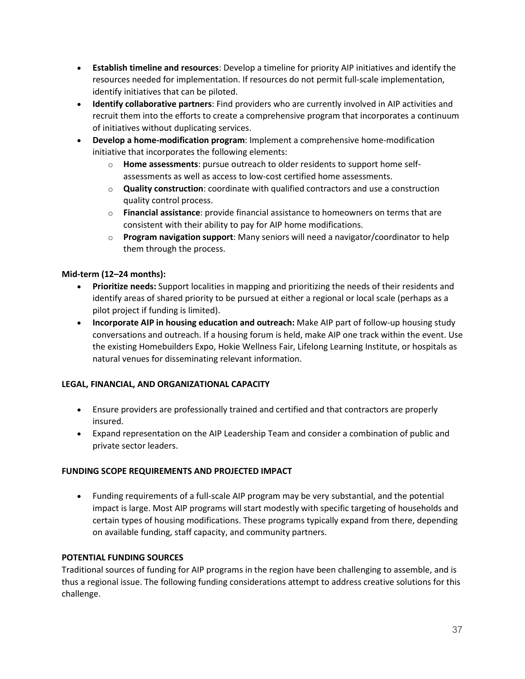- **Establish timeline and resources**: Develop a timeline for priority AIP initiatives and identify the resources needed for implementation. If resources do not permit full-scale implementation, identify initiatives that can be piloted.
- **Identify collaborative partners**: Find providers who are currently involved in AIP activities and recruit them into the efforts to create a comprehensive program that incorporates a continuum of initiatives without duplicating services.
- **Develop a home-modification program**: Implement a comprehensive home-modification initiative that incorporates the following elements:
	- o **Home assessments**: pursue outreach to older residents to support home selfassessments as well as access to low-cost certified home assessments.
	- o **Quality construction**: coordinate with qualified contractors and use a construction quality control process.
	- o **Financial assistance**: provide financial assistance to homeowners on terms that are consistent with their ability to pay for AIP home modifications.
	- o **Program navigation support**: Many seniors will need a navigator/coordinator to help them through the process.

#### **Mid-term (12–24 months):**

- **Prioritize needs:** Support localities in mapping and prioritizing the needs of their residents and identify areas of shared priority to be pursued at either a regional or local scale (perhaps as a pilot project if funding is limited).
- **Incorporate AIP in housing education and outreach:** Make AIP part of follow-up housing study conversations and outreach. If a housing forum is held, make AIP one track within the event. Use the existing Homebuilders Expo, Hokie Wellness Fair, Lifelong Learning Institute, or hospitals as natural venues for disseminating relevant information.

#### **LEGAL, FINANCIAL, AND ORGANIZATIONAL CAPACITY**

- Ensure providers are professionally trained and certified and that contractors are properly insured.
- Expand representation on the AIP Leadership Team and consider a combination of public and private sector leaders.

#### **FUNDING SCOPE REQUIREMENTS AND PROJECTED IMPACT**

• Funding requirements of a full-scale AIP program may be very substantial, and the potential impact is large. Most AIP programs will start modestly with specific targeting of households and certain types of housing modifications. These programs typically expand from there, depending on available funding, staff capacity, and community partners.

#### **POTENTIAL FUNDING SOURCES**

Traditional sources of funding for AIP programs in the region have been challenging to assemble, and is thus a regional issue. The following funding considerations attempt to address creative solutions for this challenge.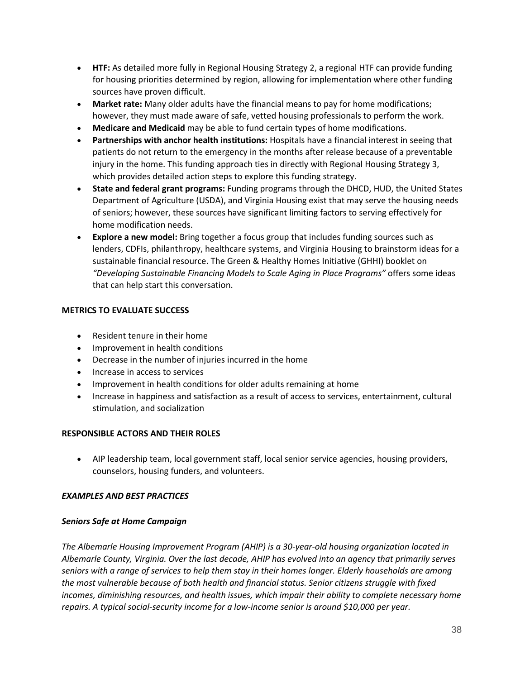- **HTF:** As detailed more fully in Regional Housing Strategy 2, a regional HTF can provide funding for housing priorities determined by region, allowing for implementation where other funding sources have proven difficult.
- **Market rate:** Many older adults have the financial means to pay for home modifications; however, they must made aware of safe, vetted housing professionals to perform the work.
- **Medicare and Medicaid** may be able to fund certain types of home modifications.
- **Partnerships with anchor health institutions:** Hospitals have a financial interest in seeing that patients do not return to the emergency in the months after release because of a preventable injury in the home. This funding approach ties in directly with Regional Housing Strategy 3, which provides detailed action steps to explore this funding strategy.
- **State and federal grant programs:** Funding programs through the DHCD, HUD, the United States Department of Agriculture (USDA), and Virginia Housing exist that may serve the housing needs of seniors; however, these sources have significant limiting factors to serving effectively for home modification needs.
- **Explore a new model:** Bring together a focus group that includes funding sources such as lenders, CDFIs, philanthropy, healthcare systems, and Virginia Housing to brainstorm ideas for a sustainable financial resource. The Green & Healthy Homes Initiative (GHHI) booklet on *"Developing Sustainable Financing Models to Scale Aging in Place Programs"* offers some ideas that can help start this conversation.

#### **METRICS TO EVALUATE SUCCESS**

- Resident tenure in their home
- Improvement in health conditions
- Decrease in the number of injuries incurred in the home
- Increase in access to services
- Improvement in health conditions for older adults remaining at home
- Increase in happiness and satisfaction as a result of access to services, entertainment, cultural stimulation, and socialization

#### **RESPONSIBLE ACTORS AND THEIR ROLES**

• AIP leadership team, local government staff, local senior service agencies, housing providers, counselors, housing funders, and volunteers.

#### *EXAMPLES AND BEST PRACTICES*

#### *Seniors Safe at Home Campaign*

*The Albemarle Housing Improvement Program (AHIP) is a 30-year-old housing organization located in Albemarle County, Virginia. Over the last decade, AHIP has evolved into an agency that primarily serves seniors with a range of services to help them stay in their homes longer. Elderly households are among the most vulnerable because of both health and financial status. Senior citizens struggle with fixed incomes, diminishing resources, and health issues, which impair their ability to complete necessary home repairs. A typical social-security income for a low-income senior is around \$10,000 per year.*